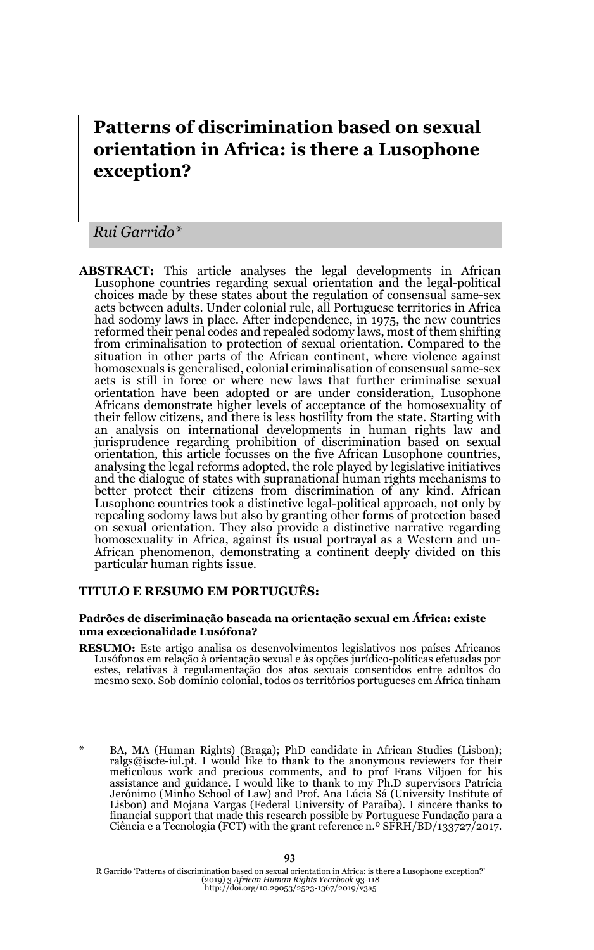# **Patterns of discrimination based on sexual orientation in Africa: is there a Lusophone exception?**

*Rui Garrido\**

**ABSTRACT:** This article analyses the legal developments in African Lusophone countries regarding sexual orientation and the legal-political choices made by these states about the regulation of consensual same-sex acts between adults. Under colonial rule, all Portuguese territories in Africa had sodomy laws in place. After independence, in 1975, the new countries reformed their penal codes and repealed sodomy laws, most of them shifting from criminalisation to protection of sexual orientation. Compared to the situation in other parts of the African continent, where violence against homosexuals is generalised, colonial criminalisation of consensual same-sex acts is still in force or where new laws that further criminalise sexual orientation have been adopted or are under consideration, Lusophone Africans demonstrate higher levels of acceptance of the homosexuality of their fellow citizens, and there is less hostility from the state. Starting with an analysis on international developments in human rights law and jurisprudence regarding prohibition of discrimination based on sexual orientation, this article focusses on the five African Lusophone countries, analysing the legal reforms adopted, the role played by legislative initiatives and the dialogue of states with supranational human rights mechanisms to better protect their citizens from discrimination of any kind. African Lusophone countries took a distinctive legal-political approach, not only by repealing sodomy laws but also by granting other forms of protection based on sexual orientation. They also provide a distinctive narrative regarding homosexuality in Africa, against its usual portrayal as a Western and un-African phenomenon, demonstrating a continent deeply divided on this particular human rights issue.

#### **TITULO E RESUMO EM PORTUGUÊS:**

#### **Padrões de discriminação baseada na orientação sexual em África: existe uma excecionalidade Lusófona?**

**RESUMO:** Este artigo analisa os desenvolvimentos legislativos nos países Africanos Lusófonos em relação à orientação sexual e às opções jurídico-políticas efetuadas por estes, relativas à regulamentação dos atos sexuais consentidos entre adultos do mesmo sexo. Sob domínio colonial, todos os territórios portugueses em África tinham

<sup>\*</sup> BA, MA (Human Rights) (Braga); PhD candidate in African Studies (Lisbon); ralgs@iscte-iul.pt. I would like to thank to the anonymous reviewers for their meticulous work and precious comments, and to prof Frans Viljoen for his assistance and guidance. I would like to thank to my Ph.D supervisors Patrícia Jerónimo (Minho School of Law) and Prof. Ana Lúcia Sá (University Institute of Lisbon) and Mojana Vargas (Federal University of Paraiba). I sincere thanks to financial support that made this research possible by Portuguese Fundação para a Ciência e a Tecnologia (FCT) with the grant reference n.º SFRH/BD/133727/2017.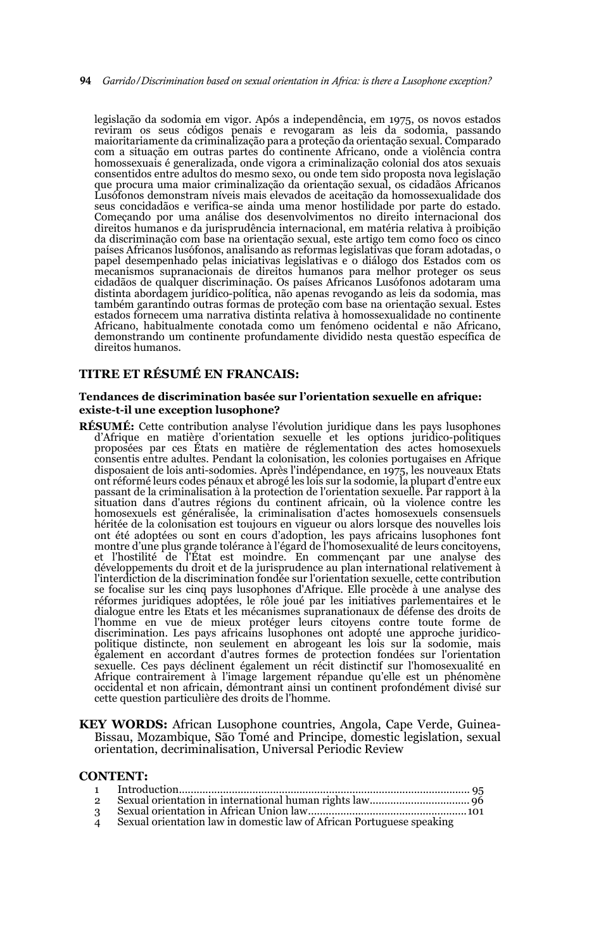#### 94 *Garrido/Discrimination based on sexual orientation in Africa: is there a Lusophone exception?*

legislação da sodomia em vigor. Após a independência, em 1975, os novos estados reviram os seus códigos penais e revogaram as leis da sodomia, passando maioritariamente da criminalização para a proteção da orientação sexual. Comparado com a situação em outras partes do continente Africano, onde a violência contra homossexuais é generalizada, onde vigora a criminalização colonial dos atos sexuais consentidos entre adultos do mesmo sexo, ou onde tem sido proposta nova legislação que procura uma maior criminalização da orientação sexual, os cidadãos Africanos Lusófonos demonstram níveis mais elevados de aceitação da homossexualidade dos seus concidadãos e verifica-se ainda uma menor hostilidade por parte do estado. Começando por uma análise dos desenvolvimentos no direito internacional dos direitos humanos e da jurisprudência internacional, em matéria relativa à proibição da discriminação com base na orientação sexual, este artigo tem como foco os cinco países Africanos lusófonos, analisando as reformas legislativas que foram adotadas, o papel desempenhado pelas iniciativas legislativas e o diálogo dos Estados com os mecanismos supranacionais de direitos humanos para melhor proteger os seus cidadãos de qualquer discriminação. Os países Africanos Lusófonos adotaram uma distinta abordagem jurídico-política, não apenas revogando as leis da sodomia, mas também garantindo outras formas de proteção com base na orientação sexual. Estes estados fornecem uma narrativa distinta relativa à homossexualidade no continente Africano, habitualmente conotada como um fenómeno ocidental e não Africano, demonstrando um continente profundamente dividido nesta questão específica de direitos humanos.

#### **TITRE ET RÉSUMÉ EN FRANCAIS:**

#### **Tendances de discrimination basée sur l'orientation sexuelle en afrique: existe-t-il une exception lusophone?**

- **RÉSUMÉ:** Cette contribution analyse l'évolution juridique dans les pays lusophones d'Afrique en matière d'orientation sexuelle et les options juridico-politiques proposées par ces États en matière de réglementation des actes homosexuels consentis entre adultes. Pendant la colonisation, les colonies portugaises en Afrique disposaient de lois anti-sodomies. Après l'indépendance, en 1975, les nouveaux Etats ont réformé leurs codes pénaux et abrogé les lois sur la sodomie, la plupart d'entre eux passant de la criminalisation à la protection de l'orientation sexuelle. Par rapport à la situation dans d'autres régions du continent africain, où la violence contre les homosexuels est généralisée, la criminalisation d'actes homosexuels consensuels héritée de la colonisation est toujours en vigueur ou alors lorsque des nouvelles lois ont été adoptées ou sont en cours d'adoption, les pays africains lusophones font montre d'une plus grande tolérance à l'égard de l'homosexualité de leurs concitoyens,<br>et l'hostilité de l'État est moindre. En commençant par une analyse des<br>développements du droit et de la jurisprud l'interdiction de la discrimination fondée sur l'orientation sexuelle, cette contribution se focalise sur les cinq pays lusophones d'Afrique. Elle procède à une analyse des réformes juridiques adoptées, le rôle joué par les initiatives parlementaires et le dialogue entre les Etats et les mécanismes supranationaux de défense des droits de l'homme en vue de mieux protéger leurs citoyens contre toute forme de discrimination. Les pays africains lusophones ont adopté une approche juridicopolitique distincte, non seulement en abrogeant les lois sur la sodomie, mais également en accordant d'autres formes de protection fondées sur l'orientation sexuelle. Ces pays déclinent également un récit distinctif sur l'homosexualité en Afrique contrairement à l'image largement répandue qu'elle est un phénomène occidental et non africain, démontrant ainsi un continent profondément divisé sur cette question particulière des droits de l'homme.
- **KEY WORDS:** African Lusophone countries, Angola, Cape Verde, Guinea-Bissau, Mozambique, São Tomé and Principe, domestic legislation, sexual orientation, decriminalisation, Universal Periodic Review

#### **CONTENT:**

| $\overline{2}$    |                                                                       |  |
|-------------------|-----------------------------------------------------------------------|--|
| 3                 |                                                                       |  |
| $\mathbf{\Delta}$ | Sexual orientation law in domestic law of African Portuguese speaking |  |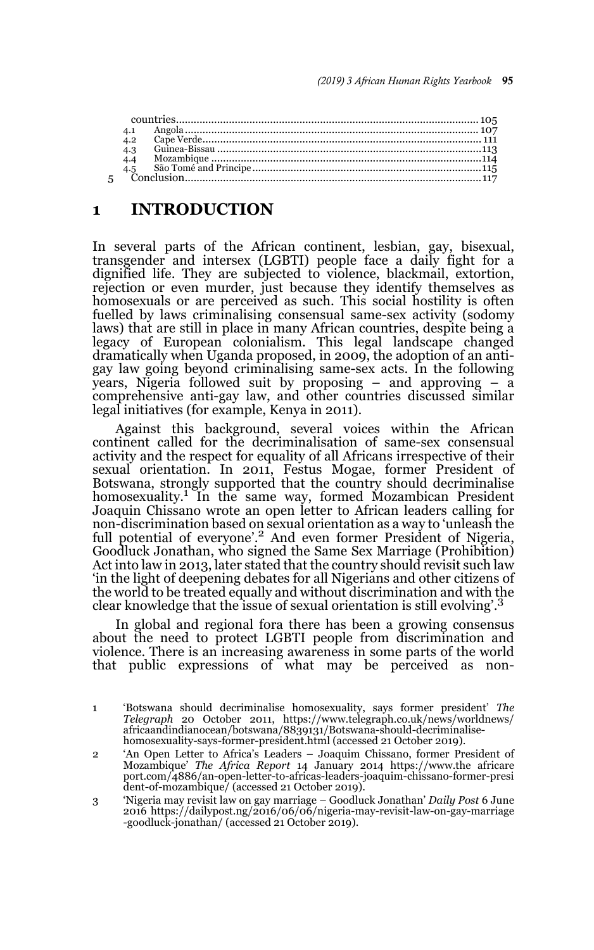| 4.2              |  |
|------------------|--|
| $\overline{4.3}$ |  |
| $-4.4$           |  |
|                  |  |
|                  |  |
|                  |  |

## **1 INTRODUCTION**

In several parts of the African continent, lesbian, gay, bisexual, transgender and intersex (LGBTI) people face a daily fight for a dignified life. They are subjected to violence, blackmail, extortion, rejection or even murder, just because they identify themselves as homosexuals or are perceived as such. This social hostility is often fuelled by laws criminalising consensual same-sex activity (sodomy laws) that are still in place in many African countries, despite being a legacy of European colonialism. This legal landscape changed dramatically when Uganda proposed, in 2009, the adoption of an antigay law going beyond criminalising same-sex acts. In the following years, Nigeria followed suit by proposing – and approving – a comprehensive anti-gay law, and other countries discussed similar legal initiatives (for example, Kenya in 2011).

Against this background, several voices within the African continent called for the decriminalisation of same-sex consensual activity and the respect for equality of all Africans irrespective of their sexual orientation. In 2011, Festus Mogae, former President of Botswana, strongly supported that the country should decriminalise homosexuality.<sup>1</sup> In the same way, formed Mozambican President Joaquin Chissano wrote an open letter to African leaders calling for non-discrimination based on sexual orientation as a way to 'unleash the full potential of everyone'.<sup>2</sup> And even former President of Nigeria, Goodluck Jonathan, who signed the Same Sex Marriage (Prohibition) Act into law in 2013, later stated that the country should revisit such law 'in the light of deepening debates for all Nigerians and other citizens of the world to be treated equally and without discrimination and with the clear knowledge that the issue of sexual orientation is still evolving'.<sup>3</sup>

In global and regional fora there has been a growing consensus about the need to protect LGBTI people from discrimination and violence. There is an increasing awareness in some parts of the world that public expressions of what may be perceived as non-

<sup>1 &#</sup>x27;Botswana should decriminalise homosexuality, says former president' *The Telegraph* 20 October 2011, https://www.telegraph.co.uk/news/worldnews/ africaandindianocean/botswana/8839131/Botswana-should-decriminalisehomosexuality-says-former-president.html (accessed 21 October 2019).

<sup>2 &#</sup>x27;An Open Letter to Africa's Leaders – Joaquim Chissano, former President of Mozambique' *The Africa Report* 14 January 2014 https://www.the africare port.com/4886/an-open-letter-to-africas-leaders-joaquim-chissano-former-presi dent-of-mozambique/ (accessed 21 October 2019).

<sup>3 &#</sup>x27;Nigeria may revisit law on gay marriage – Goodluck Jonathan' *Daily Post* 6 June 2016 https://dailypost.ng/2016/06/06/nigeria-may-revisit-law-on-gay-marriage -goodluck-jonathan/ (accessed 21 October 2019).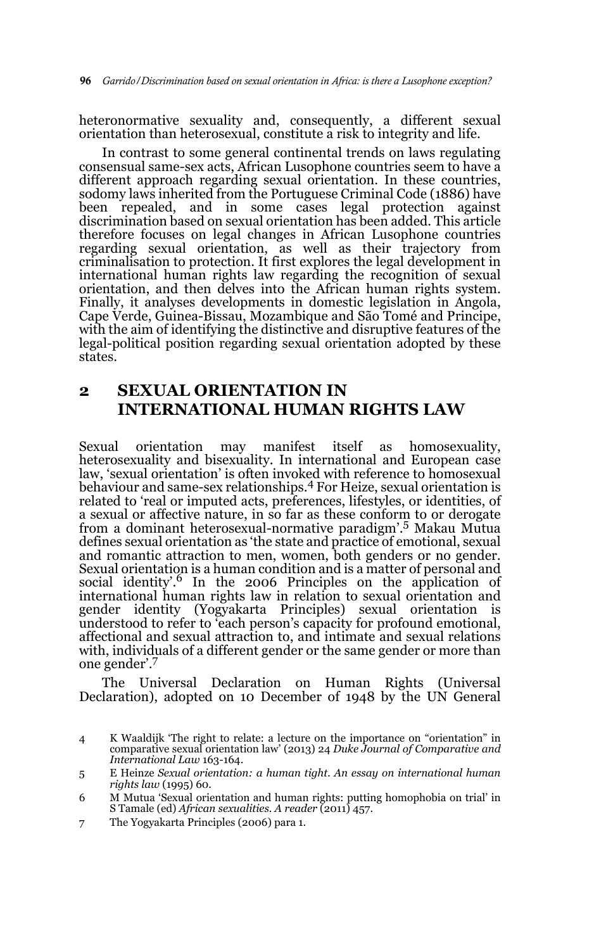heteronormative sexuality and, consequently, a different sexual orientation than heterosexual, constitute a risk to integrity and life.

In contrast to some general continental trends on laws regulating consensual same-sex acts, African Lusophone countries seem to have a different approach regarding sexual orientation. In these countries, sodomy laws inherited from the Portuguese Criminal Code (1886) have been repealed, and in some cases legal protection against discrimination based on sexual orientation has been added. This article therefore focuses on legal changes in African Lusophone countries regarding sexual orientation, as well as their trajectory from criminalisation to protection. It first explores the legal development in international human rights law regarding the recognition of sexual orientation, and then delves into the African human rights system. Finally, it analyses developments in domestic legislation in Angola, Cape Verde, Guinea-Bissau, Mozambique and São Tomé and Principe, with the aim of identifying the distinctive and disruptive features of the legal-political position regarding sexual orientation adopted by these states.

# **2 SEXUAL ORIENTATION IN INTERNATIONAL HUMAN RIGHTS LAW**

Sexual orientation may manifest itself as homosexuality, heterosexuality and bisexuality. In international and European case law, 'sexual orientation' is often invoked with reference to homosexual behaviour and same-sex relationships.4 For Heize, sexual orientation is related to 'real or imputed acts, preferences, lifestyles, or identities, of a sexual or affective nature, in so far as these conform to or derogate from a dominant heterosexual-normative paradigm'.5 Makau Mutua defines sexual orientation as 'the state and practice of emotional, sexual and romantic attraction to men, women, both genders or no gender. Sexual orientation is a human condition and is a matter of personal and social identity'.<sup>6</sup> In the 2006 Principles on the application of international human rights law in relation to sexual orientation and gender identity (Yogyakarta Principles) sexual orientation is understood to refer to 'each person's capacity for profound emotional, affectional and sexual attraction to, and intimate and sexual relations with, individuals of a different gender or the same gender or more than one gender'.7

The Universal Declaration on Human Rights (Universal Declaration), adopted on 10 December of 1948 by the UN General

7 The Yogyakarta Principles (2006) para 1.

<sup>4</sup> K Waaldijk 'The right to relate: a lecture on the importance on "orientation" in comparative sexual orientation law' (2013) 24 *Duke Journal of Comparative and International Law* 163-164.

<sup>5</sup> E Heinze *Sexual orientation: a human tight. An essay on international human rights law* (1995) 60.

<sup>6</sup> M Mutua 'Sexual orientation and human rights: putting homophobia on trial' in S Tamale (ed) *African sexualities. A reader* (2011) 457.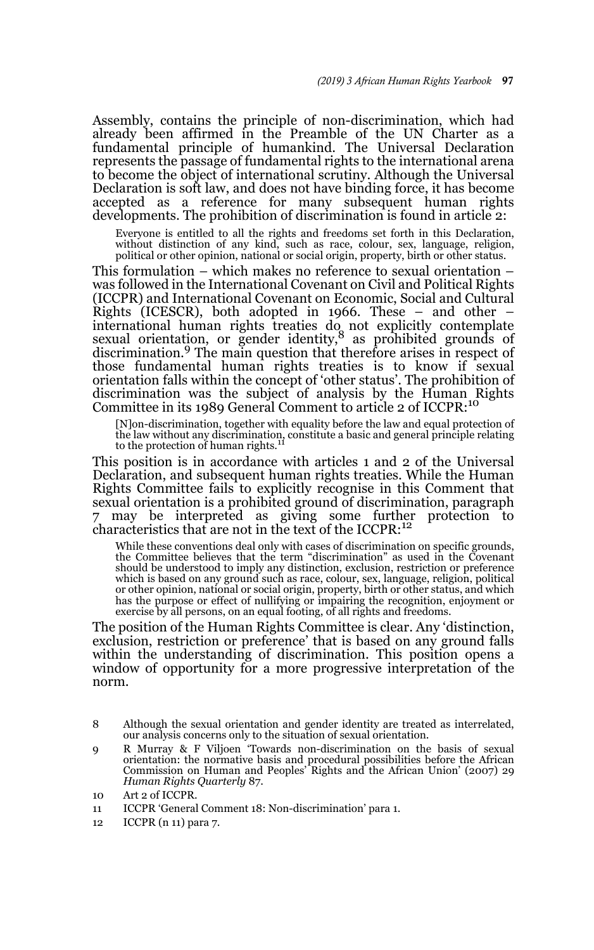Assembly, contains the principle of non-discrimination, which had already been affirmed in the Preamble of the UN Charter as a fundamental principle of humankind. The Universal Declaration represents the passage of fundamental rights to the international arena to become the object of international scrutiny. Although the Universal Declaration is soft law, and does not have binding force, it has become accepted as a reference for many subsequent human rights developments. The prohibition of discrimination is found in article 2:

Everyone is entitled to all the rights and freedoms set forth in this Declaration, without distinction of any kind, such as race, colour, sex, language, religion, political or other opinion, national or social origin, property, birth or other status.

This formulation – which makes no reference to sexual orientation – was followed in the International Covenant on Civil and Political Rights (ICCPR) and International Covenant on Economic, Social and Cultural Rights (ICESCR), both adopted in 1966. These – and other – international human rights treaties do not explicitly contemplate sexual orientation, or gender identity,8 as prohibited grounds of discrimination.9 The main question that therefore arises in respect of those fundamental human rights treaties is to know if sexual orientation falls within the concept of 'other status'. The prohibition of discrimination was the subject of analysis by the Human Rights Committee in its 1989 General Comment to article 2 of ICCPR:10

[N]on-discrimination, together with equality before the law and equal protection of the law without any discrimination, constitute a basic and general principle relating to the protection of human rights.<sup>11</sup>

This position is in accordance with articles 1 and 2 of the Universal Declaration, and subsequent human rights treaties. While the Human Rights Committee fails to explicitly recognise in this Comment that sexual orientation is a prohibited ground of discrimination, paragraph may be interpreted as giving some further protection to characteristics that are not in the text of the ICCPR:<sup>12</sup>

While these conventions deal only with cases of discrimination on specific grounds, the Committee believes that the term "discrimination" as used in the Covenant should be understood to imply any distinction, exclusion, re which is based on any ground such as race, colour, sex, language, religion, political<br>or other opinion, national or social origin, property, birth or other status, and which<br>has the purpose or effect of nullifying or impai exercise by all persons, on an equal footing, of all rights and freedoms.

The position of the Human Rights Committee is clear. Any 'distinction, exclusion, restriction or preference' that is based on any ground falls within the understanding of discrimination. This position opens a window of opportunity for a more progressive interpretation of the norm.

<sup>8</sup> Although the sexual orientation and gender identity are treated as interrelated, our analysis concerns only to the situation of sexual orientation.

<sup>9</sup> R Murray & F Viljoen 'Towards non-discrimination on the basis of sexual orientation: the normative basis and procedural possibilities before the African Commission on Human and Peoples' Rights and the African Union' (2007) 29 *Human Rights Quarterly* 87.

<sup>10</sup> Art 2 of ICCPR.

<sup>11</sup> ICCPR 'General Comment 18: Non-discrimination' para 1.

<sup>12</sup> ICCPR (n 11) para 7.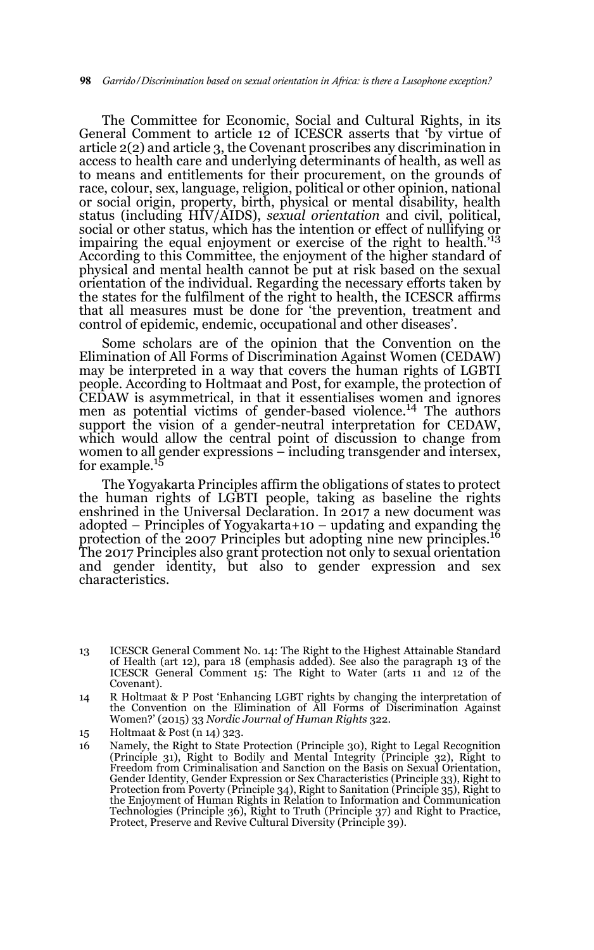The Committee for Economic, Social and Cultural Rights, in its General Comment to article 12 of ICESCR asserts that 'by virtue of article 2(2) and article 3, the Covenant proscribes any discrimination in access to health care and underlying determinants of health, as well as to means and entitlements for their procurement, on the grounds of race, colour, sex, language, religion, political or other opinion, national or social origin, property, birth, physical or mental disability, health status (including HIV/AIDS), *sexual orientation* and civil, political, social or other status, which has the intention or effect of nullifying or impairing the equal enjoyment or exercise of the right to health.'<sup>13</sup> According to this Committee, the enjoyment of the higher standard of physical and mental health cannot be put at risk based on the sexual orientation of the individual. Regarding the necessary efforts taken by the states for the fulfilment of the right to health, the ICESCR affirms that all measures must be done for 'the prevention, treatment and control of epidemic, endemic, occupational and other diseases'.

Some scholars are of the opinion that the Convention on the Elimination of All Forms of Discrimination Against Women (CEDAW) may be interpreted in a way that covers the human rights of LGBTI people. According to Holtmaat and Post, for example, the protection of CEDAW is asymmetrical, in that it essentialises women and ignores men as potential victims of gender-based violence.14 The authors support the vision of a gender-neutral interpretation for CEDAW, which would allow the central point of discussion to change from women to all gender expressions – including transgender and intersex, for example.<sup>15</sup>

The Yogyakarta Principles affirm the obligations of states to protect the human rights of LGBTI people, taking as baseline the rights enshrined in the Universal Declaration. In 2017 a new document was adopted – Principles of Yogyakarta+10 – updating and expanding the protection of the 2007 Principles but adopting nine new principles.<sup>16</sup> The 2017 Principles also grant protection not only to sexual orientation and gender identity, but also to gender expression and sex characteristics.

15 Holtmaat & Post (n 14) 323.

<sup>13</sup> ICESCR General Comment No. 14: The Right to the Highest Attainable Standard of Health (art 12), para 18 (emphasis added). See also the paragraph 13 of the ICESCR General Comment 15: The Right to Water (arts 11 and 12 of the Covenant).

<sup>14</sup> R Holtmaat & P Post 'Enhancing LGBT rights by changing the interpretation of the Convention on the Elimination of All Forms of Discrimination Against Women?' (2015) 33 *Nordic Journal of Human Rights* 322.

<sup>16</sup> Namely, the Right to State Protection (Principle 30), Right to Legal Recognition (Principle 31), Right to Bodily and Mental Integrity (Principle 32), Right to Freedom from Criminalisation and Sanction on the Basis on Sexual Orientation, Gender Identity, Gender Expression or Sex Characteristics (Principle 33), Right to Protection from Poverty (Principle 34), Right to Sanitation (Principle 35), Right to the Enjoyment of Human Rights in Relation to Information and Communication Technologies (Principle 36), Right to Truth (Principle 37) and Right to Practice, Protect, Preserve and Revive Cultural Diversity (Principle 39).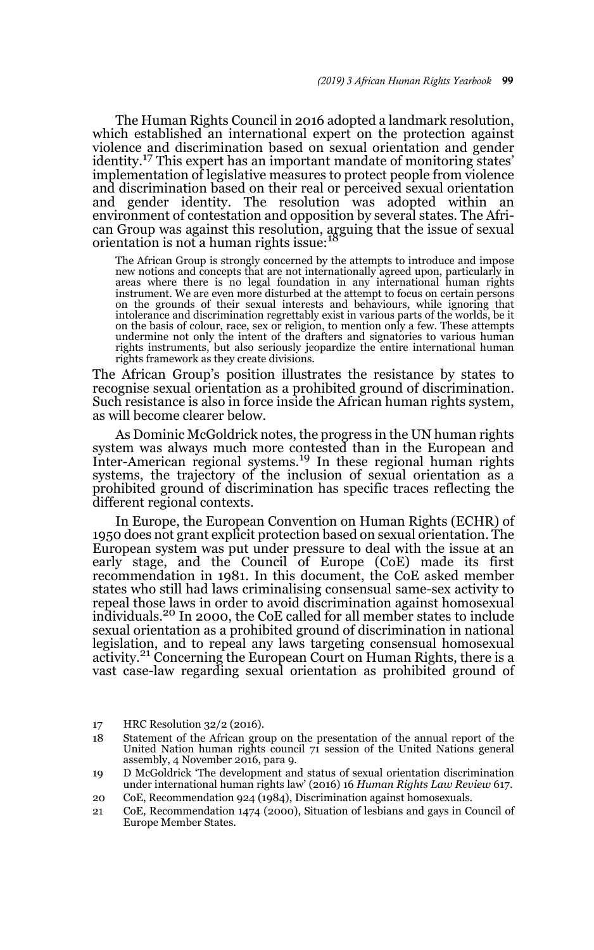The Human Rights Council in 2016 adopted a landmark resolution, which established an international expert on the protection against violence and discrimination based on sexual orientation and gender identity.17 This expert has an important mandate of monitoring states' implementation of legislative measures to protect people from violence and discrimination based on their real or perceived sexual orientation and gender identity. The resolution was adopted within an environment of contestation and opposition by several states. The African Group was against this resolution, arguing that the issue of sexual orientation is not a human rights issue:<sup>1</sup>

The African Group is strongly concerned by the attempts to introduce and impose new notions and concepts that are not internationally agreed upon, particularly in areas where there is no legal foundation in any international human rights instrument. We are even more disturbed at the attempt to focus on certain persons on the grounds of their sexual interests and behaviours, while ignoring that intolerance and discrimination regrettably exist in various parts of the worlds, be it on the basis of colour, race, sex or religion, to mention only a few. These attempts undermine not only the intent of the drafters and signatories to various human rights instruments, but also seriously jeopardize the entire international human rights framework as they create divisions.

The African Group's position illustrates the resistance by states to recognise sexual orientation as a prohibited ground of discrimination. Such resistance is also in force inside the African human rights system, as will become clearer below.

As Dominic McGoldrick notes, the progress in the UN human rights system was always much more contested than in the European and Inter-American regional systems.19 In these regional human rights systems, the trajectory of the inclusion of sexual orientation as a prohibited ground of discrimination has specific traces reflecting the different regional contexts.

In Europe, the European Convention on Human Rights (ECHR) of 1950 does not grant explicit protection based on sexual orientation. The European system was put under pressure to deal with the issue at an early stage, and the Council of Europe (CoE) made its first recommendation in 1981. In this document, the CoE asked member states who still had laws criminalising consensual same-sex activity to repeal those laws in order to avoid discrimination against homosexual individuals.20 In 2000, the CoE called for all member states to include sexual orientation as a prohibited ground of discrimination in national legislation, and to repeal any laws targeting consensual homosexual activity.21 Concerning the European Court on Human Rights, there is a vast case-law regarding sexual orientation as prohibited ground of

<sup>17</sup> HRC Resolution 32/2 (2016).

<sup>18</sup> Statement of the African group on the presentation of the annual report of the United Nation human rights council 71 session of the United Nations general assembly, 4 November 2016, para 9.

<sup>19</sup> D McGoldrick 'The development and status of sexual orientation discrimination under international human rights law' (2016) 16 *Human Rights Law Review* 617.

<sup>20</sup> CoE, Recommendation 924 (1984), Discrimination against homosexuals.

<sup>21</sup> CoE, Recommendation 1474 (2000), Situation of lesbians and gays in Council of Europe Member States.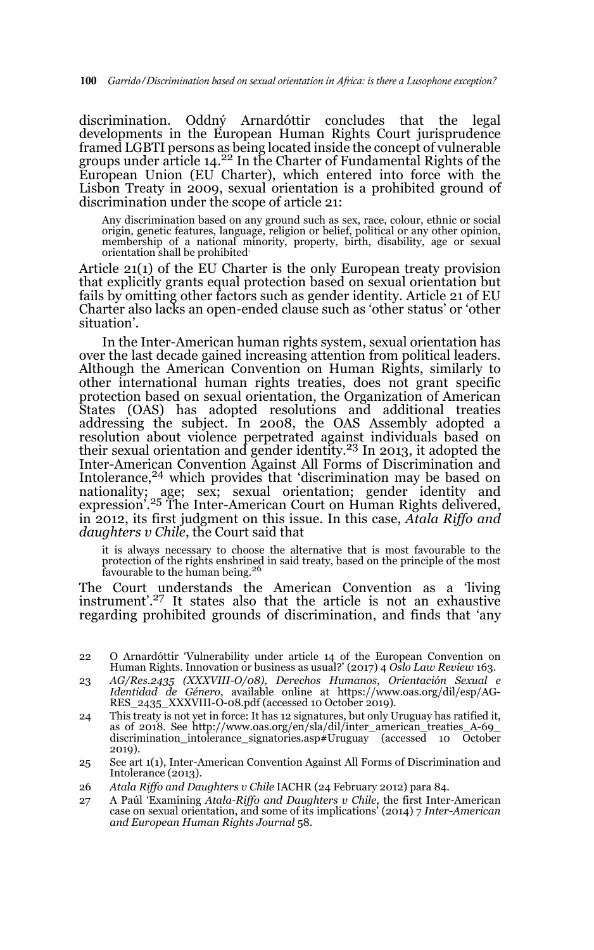discrimination. Oddný Arnardóttir concludes that the legal developments in the European Human Rights Court jurisprudence framed LGBTI persons as being located inside the concept of vulnerable groups under article 14.<sup>22</sup> In the Charter of Fundamental Rights of the European Union (EU Charter), which entered into force with the Lisbon Treaty in 2009, sexual orientation is a prohibited ground of discrimination under the scope of article 21:

Any discrimination based on any ground such as sex, race, colour, ethnic or social origin, genetic features, language, religion or belief, political or any other opinion, membership of a national minority, property, birth, disability, age or sexual orientation shall be prohibited.

Article 21(1) of the EU Charter is the only European treaty provision that explicitly grants equal protection based on sexual orientation but fails by omitting other factors such as gender identity. Article 21 of EU Charter also lacks an open-ended clause such as 'other status' or 'other situation'.

In the Inter-American human rights system, sexual orientation has over the last decade gained increasing attention from political leaders. Although the American Convention on Human Rights, similarly to other international human rights treaties, does not grant specific protection based on sexual orientation, the Organization of American States (OAS) has adopted resolutions and additional treaties addressing the subject. In 2008, the OAS Assembly adopted a resolution about violence perpetrated against individuals based on<br>their sexual orientation and gender identity.<sup>23</sup> In 2013, it adopted the Inter-American Convention Against All Forms of Discrimination and Intolerance,<sup>24</sup> which provides that 'discrimination may be based on nationality; age; sex; sexual orientation; gender identity and<br>expression'.<sup>25</sup> The Inter-American Court on Human Rights delivered, in 2012, its first judgment on this issue. In this case, *Atala Riffo and daughters v Chile*, the Court said that

it is always necessary to choose the alternative that is most favourable to the protection of the rights enshrined in said treaty, based on the principle of the most favourable to the human being.<sup>26</sup>

The Court understands the American Convention as a 'living instrument'.27 It states also that the article is not an exhaustive regarding prohibited grounds of discrimination, and finds that 'any

- 22 O Arnardóttir 'Vulnerability under article 14 of the European Convention on Human Rights. Innovation or business as usual?' (2017) 4 *Oslo Law Review* 163.
- 23 *AG/Res.2435 (XXXVIII-O/08), Derechos Humanos, Orientación Sexual e Identidad de Género*, available online at https://www.oas.org/dil/esp/AG-RES\_2435\_XXXVIII-O-08.pdf (accessed 10 October 2019).
- 24 This treaty is not yet in force: It has 12 signatures, but only Uruguay has ratified it, as of 2018. See http://www.oas.org/en/sla/dil/inter\_american\_treaties\_A-69\_ discrimination\_intolerance\_signatories.asp#Uruguay (accessed 10 October 2019).
- 25 See art 1(1), Inter-American Convention Against All Forms of Discrimination and Intolerance (2013).
- 26 *Atala Riffo and Daughters v Chile* IACHR (24 February 2012) para 84.
- 27 A Paúl 'Examining *Atala-Riffo and Daughters v Chile*, the first Inter-American case on sexual orientation, and some of its implications' (2014) 7 *Inter-American and European Human Rights Journal* 58.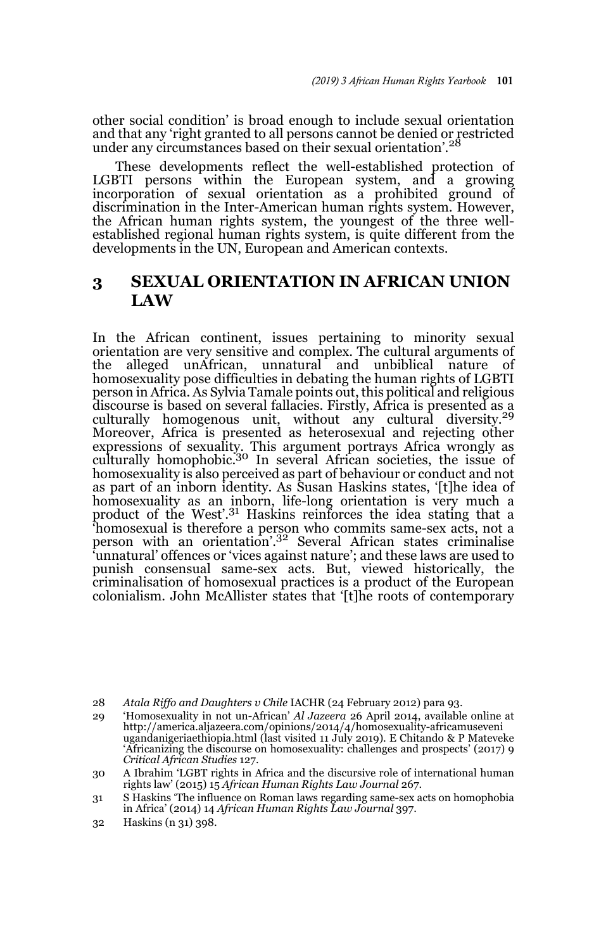other social condition' is broad enough to include sexual orientation and that any 'right granted to all persons cannot be denied or restricted under any circumstances based on their sexual orientation'.<sup>28</sup>

These developments reflect the well-established protection of LGBTI persons within the European system, and a growing incorporation of sexual orientation as a prohibited ground of discrimination in the Inter-American human rights system. However, the African human rights system, the youngest of the three wellestablished regional human rights system, is quite different from the developments in the UN, European and American contexts.

### **3 SEXUAL ORIENTATION IN AFRICAN UNION LAW**

In the African continent, issues pertaining to minority sexual orientation are very sensitive and complex. The cultural arguments of the alleged unAfrican, unnatural and unbiblical nature of homosexuality pose difficulties in debating the human rights of LGBTI person in Africa. As Sylvia Tamale points out, this political and religious discourse is based on several fallacies. Firstly, Africa is presented as a culturally homogenous unit, without any cultural diversity.<sup>29</sup> Moreover, Africa is presented as heterosexual and rejecting other expressions of sexuality. This argument portrays Africa wrongly as<br>culturally homophobic.<sup>30</sup> In several African societies, the issue of homosexuality is also perceived as part of behaviour or conduct and not as part of an inborn identity. As Susan Haskins states, '[t]he idea of homosexuality as an inborn, life-long orientation is very much a<br>product of the West'.<sup>31</sup> Haskins reinforces the idea stating that a 'homosexual is therefore a person who commits same-sex acts, not a person with an orientation'.<sup>32</sup> Several African states criminalise 'unnatural' offences or 'vices against nature'; and these laws are used to punish consensual same-sex acts. But, viewed historically, the criminalisation of homosexual practices is a product of the European colonialism. John McAllister states that '[t]he roots of contemporary

<sup>28</sup> *Atala Riffo and Daughters v Chile* IACHR (24 February 2012) para 93.

<sup>29 &#</sup>x27;Homosexuality in not un-African' *Al Jazeera* 26 April 2014, available online at http://america.aljazeera.com/opinions/2014/4/homosexuality-africamuseveni ugandanigeriaethiopia.html (last visited 11 July 2019). E Chitando & P Mateveke 'Africanizing the discourse on homosexuality: challenges and prospects' (2017) 9 *Critical African Studies* 127.

<sup>30</sup> A Ibrahim 'LGBT rights in Africa and the discursive role of international human rights law' (2015) 15 *African Human Rights Law Journal* 267.

<sup>31</sup> S Haskins 'The influence on Roman laws regarding same-sex acts on homophobia in Africa' (2014) 14 *African Human Rights Law Journal* 397.

<sup>32</sup> Haskins (n 31) 398.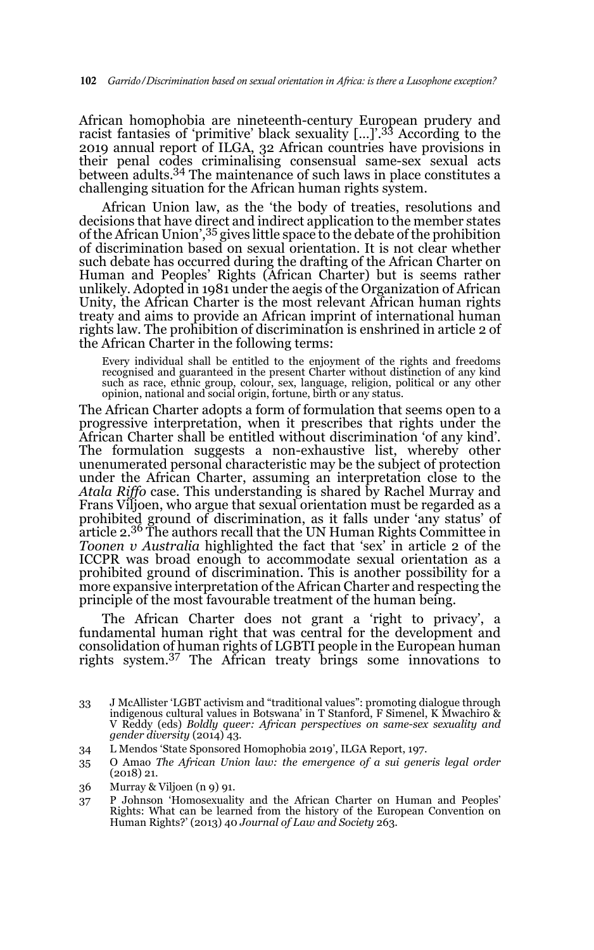African homophobia are nineteenth-century European prudery and racist fantasies of 'primitive' black sexuality […]'.33 According to the 2019 annual report of ILGA, 32 African countries have provisions in their penal codes criminalising consensual same-sex sexual acts between adults.34 The maintenance of such laws in place constitutes a challenging situation for the African human rights system.

African Union law, as the 'the body of treaties, resolutions and decisions that have direct and indirect application to the member states of the African Union',<sup>35</sup> gives little space to the debate of the prohibition of discrimination based on sexual orientation. It is not clear whether such debate has occurred during the drafting of the African Charter on Human and Peoples' Rights (African Charter) but is seems rather unlikely. Adopted in 1981 under the aegis of the Organization of African Unity, the African Charter is the most relevant African human rights treaty and aims to provide an African imprint of international human rights law. The prohibition of discrimination is enshrined in article 2 of the African Charter in the following terms:

Every individual shall be entitled to the enjoyment of the rights and freedoms recognised and guaranteed in the present Charter without distinction of any kind such as race, ethnic group, colour, sex, language, religion, political or any other opinion, national and social origin, fortune, birth or any status.

The African Charter adopts a form of formulation that seems open to a progressive interpretation, when it prescribes that rights under the African Charter shall be entitled without discrimination 'of any kind'. The formulation suggests a non-exhaustive list, whereby other unenumerated personal characteristic may be the subject of protection under the African Charter, assuming an interpretation close to the *Atala Riffo* case. This understanding is shared by Rachel Murray and Frans Viljoen, who argue that sexual orientation must be regarded as a prohibited ground of discrimination, as it falls under 'any status' of article 2.36 The authors recall that the UN Human Rights Committee in *Toonen v Australia* highlighted the fact that 'sex' in article 2 of the ICCPR was broad enough to accommodate sexual orientation as a prohibited ground of discrimination. This is another possibility for a more expansive interpretation of the African Charter and respecting the principle of the most favourable treatment of the human being.

The African Charter does not grant a 'right to privacy', a fundamental human right that was central for the development and consolidation of human rights of LGBTI people in the European human rights system.37 The African treaty brings some innovations to

- 34 L Mendos 'State Sponsored Homophobia 2019', ILGA Report, 197.
- 35 O Amao *The African Union law: the emergence of a sui generis legal order* (2018) 21.
- 36 Murray & Viljoen (n 9) 91.
- 37 P Johnson 'Homosexuality and the African Charter on Human and Peoples' Rights: What can be learned from the history of the European Convention on Human Rights?' (2013) 40 *Journal of Law and Society* 263.

<sup>33</sup> J McAllister 'LGBT activism and "traditional values": promoting dialogue through indigenous cultural values in Botswana' in T Stanford, F Simenel, K Mwachiro & V Reddy (eds) *Boldly queer: African perspectives on same-sex sexuality and gender diversity* (2014) 43.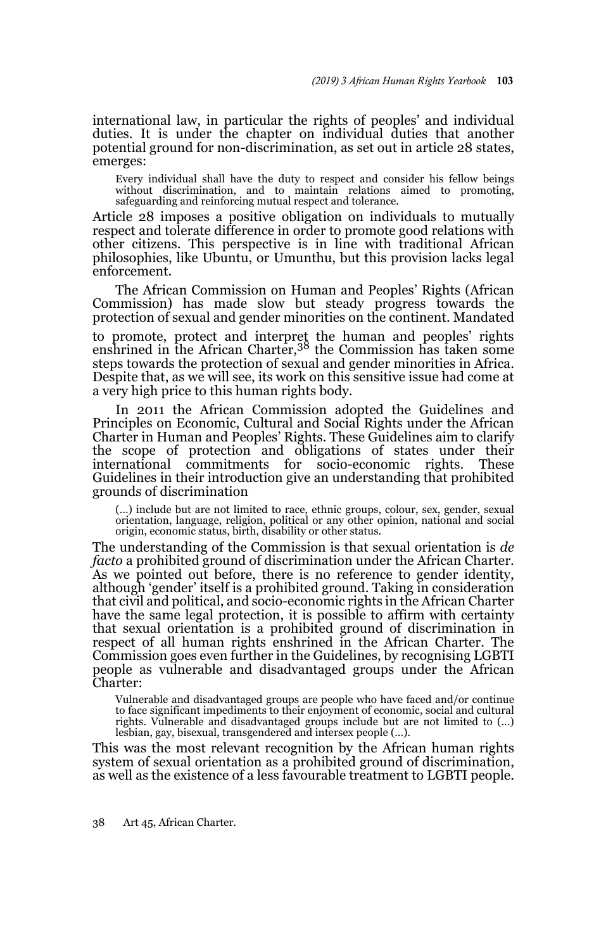international law, in particular the rights of peoples' and individual duties. It is under the chapter on individual duties that another potential ground for non-discrimination, as set out in article 28 states, emerges:

Every individual shall have the duty to respect and consider his fellow beings without discrimination, and to maintain relations aimed to promoting, safeguarding and reinforcing mutual respect and tolerance.

Article 28 imposes a positive obligation on individuals to mutually respect and tolerate difference in order to promote good relations with other citizens. This perspective is in line with traditional African philosophies, like Ubuntu, or Umunthu, but this provision lacks legal enforcement.

The African Commission on Human and Peoples' Rights (African Commission) has made slow but steady progress towards the protection of sexual and gender minorities on the continent. Mandated

to promote, protect and interpret the human and peoples' rights enshrined in the African Charter,38 the Commission has taken some steps towards the protection of sexual and gender minorities in Africa. Despite that, as we will see, its work on this sensitive issue had come at a very high price to this human rights body.

In 2011 the African Commission adopted the Guidelines and Principles on Economic, Cultural and Social Rights under the African Charter in Human and Peoples' Rights. These Guidelines aim to clarify the scope of protection and obligations of states under their international commitments for socio-economic rights. These Guidelines in their introduction give an understanding that prohibited grounds of discrimination

(…) include but are not limited to race, ethnic groups, colour, sex, gender, sexual orientation, language, religion, political or any other opinion, national and social origin, economic status, birth, disability or other status.

The understanding of the Commission is that sexual orientation is *de facto* a prohibited ground of discrimination under the African Charter. As we pointed out before, there is no reference to gender identity, although 'gender' itself is a prohibited ground. Taking in consideration that civil and political, and socio-economic rights in the African Charter have the same legal protection, it is possible to affirm with certainty that sexual orientation is a prohibited ground of discrimination in respect of all human rights enshrined in the African Charter. The Commission goes even further in the Guidelines, by recognising LGBTI people as vulnerable and disadvantaged groups under the African Charter:

Vulnerable and disadvantaged groups are people who have faced and/or continue to face significant impediments to their enjoyment of economic, social and cultural rights. Vulnerable and disadvantaged groups include but are not limited to (...) lesbian, gay, bisexual, transgendered and intersex people (…).

This was the most relevant recognition by the African human rights system of sexual orientation as a prohibited ground of discrimination, as well as the existence of a less favourable treatment to LGBTI people.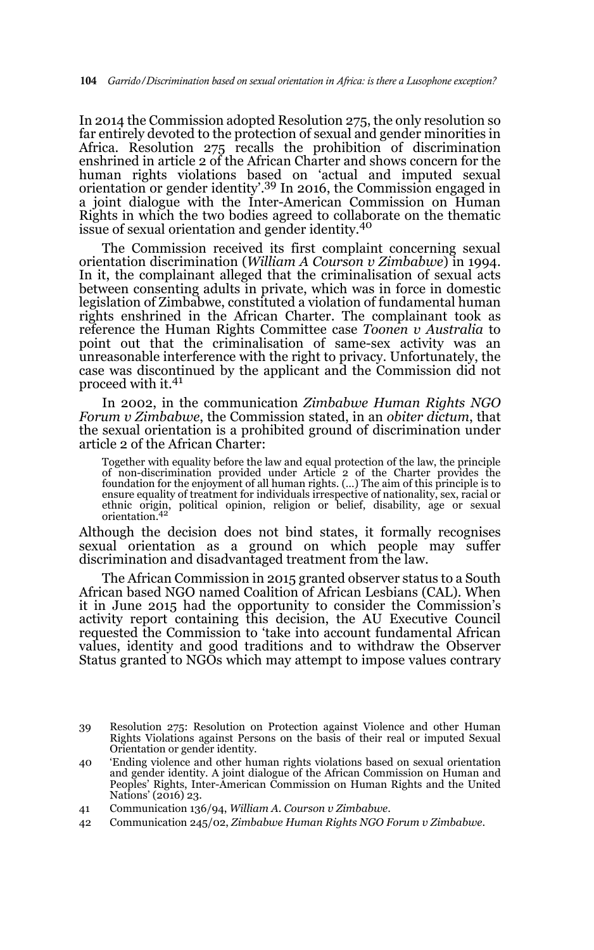In 2014 the Commission adopted Resolution 275, the only resolution so far entirely devoted to the protection of sexual and gender minorities in Africa. Resolution 275 recalls the prohibition of discrimination enshrined in article 2 of the African Charter and shows concern for the human rights violations based on 'actual and imputed sexual orientation or gender identity'.39 In 2016, the Commission engaged in a joint dialogue with the Inter-American Commission on Human Rights in which the two bodies agreed to collaborate on the thematic issue of sexual orientation and gender identity.<sup>40</sup>

The Commission received its first complaint concerning sexual orientation discrimination (*William A Courson v Zimbabwe*) in 1994. In it, the complainant alleged that the criminalisation of sexual acts between consenting adults in private, which was in force in domestic legislation of Zimbabwe, constituted a violation of fundamental human rights enshrined in the African Charter. The complainant took as reference the Human Rights Committee case *Toonen v Australia* to point out that the criminalisation of same-sex activity was an unreasonable interference with the right to privacy. Unfortunately, the case was discontinued by the applicant and the Commission did not proceed with it.<sup>41</sup>

In 2002, in the communication *Zimbabwe Human Rights NGO Forum v Zimbabwe*, the Commission stated, in an *obiter dictum*, that the sexual orientation is a prohibited ground of discrimination under article 2 of the African Charter:

Together with equality before the law and equal protection of the law, the principle of non-discrimination provided under Article 2 of the Charter provides the foundation for the enjoyment of all human rights. (…) The aim of this principle is to ensure equality of treatment for individuals irrespective of nationality, sex, racial or ethnic origin, political opinion, religion or belief, disability, age or sexual orientation.42

Although the decision does not bind states, it formally recognises sexual orientation as a ground on which people may suffer discrimination and disadvantaged treatment from the law.

The African Commission in 2015 granted observer status to a South African based NGO named Coalition of African Lesbians (CAL). When it in June 2015 had the opportunity to consider the Commission's activity report containing this decision, the AU Executive Council requested the Commission to 'take into account fundamental African values, identity and good traditions and to withdraw the Observer Status granted to NGOs which may attempt to impose values contrary

<sup>39</sup> Resolution 275: Resolution on Protection against Violence and other Human Rights Violations against Persons on the basis of their real or imputed Sexual Orientation or gender identity.

<sup>40 &#</sup>x27;Ending violence and other human rights violations based on sexual orientation and gender identity. A joint dialogue of the African Commission on Human and Peoples' Rights, Inter-American Commission on Human Rights and the United Nations' (2016) 23.

<sup>41</sup> Communication 136/94, *William A. Courson v Zimbabwe*.

<sup>42</sup> Communication 245/02, *Zimbabwe Human Rights NGO Forum v Zimbabwe*.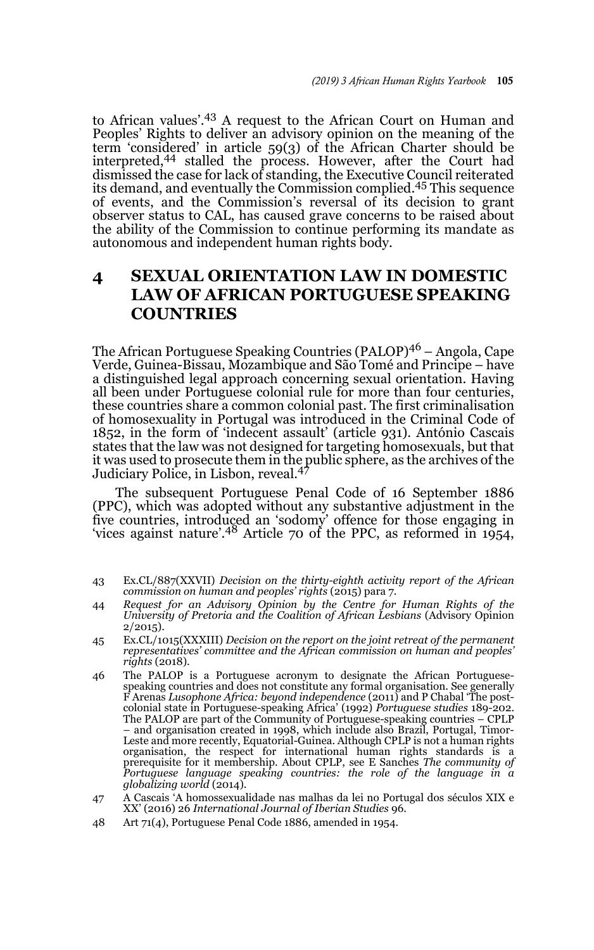to African values'.43 A request to the African Court on Human and Peoples' Rights to deliver an advisory opinion on the meaning of the term 'considered' in article 59(3) of the African Charter should be interpreted,<sup>44</sup> stalled the process. However, after the Court had dismissed the case for lack of standing, the Executive Council reiterated its demand, and eventually the Commission complied.45 This sequence of events, and the Commission's reversal of its decision to grant observer status to CAL, has caused grave concerns to be raised about the ability of the Commission to continue performing its mandate as autonomous and independent human rights body.

# **4 SEXUAL ORIENTATION LAW IN DOMESTIC LAW OF AFRICAN PORTUGUESE SPEAKING COUNTRIES**

The African Portuguese Speaking Countries (PALOP)<sup>46</sup> – Angola, Cape Verde, Guinea-Bissau, Mozambique and São Tomé and Principe – have a distinguished legal approach concerning sexual orientation. Having all been under Portuguese colonial rule for more than four centuries, these countries share a common colonial past. The first criminalisation of homosexuality in Portugal was introduced in the Criminal Code of 1852, in the form of 'indecent assault' (article 931). António Cascais states that the law was not designed for targeting homosexuals, but that it was used to prosecute them in the public sphere, as the archives of the Judiciary Police, in Lisbon, reveal.<sup>47</sup>

The subsequent Portuguese Penal Code of 16 September 1886 (PPC), which was adopted without any substantive adjustment in the five countries, introduced an 'sodomy' offence for those engaging in 'vices against nature'.48 Article 70 of the PPC, as reformed in 1954,

- 43 Ex.CL/887(XXVII) *Decision on the thirty-eighth activity report of the African commission on human and peoples' rights* (2015) para 7.
- 44 *Request for an Advisory Opinion by the Centre for Human Rights of the University of Pretoria and the Coalition of African Lesbians* (Advisory Opinion  $2/2015$ ).
- 45 Ex.CL/1015(XXXIII) *Decision on the report on the joint retreat of the permanent representatives' committee and the African commission on human and peoples' rights* (2018).
- 46 The PALOP is a Portuguese acronym to designate the African Portuguesespeaking countries and does not constitute any formal organisation. See generally F Arenas *Lusophone Africa: beyond independence* (2011) and P Chabal 'The postcolonial state in Portuguese-speaking Africa' (1992) *Portuguese studies* 189-202. The PALOP are part of the Community of Portuguese-speaking countries – CPLP – and organisation created in 1998, which include also Brazil, Portugal, Timor-Leste and more recently, Equatorial-Guinea. Although CPLP is not a human rights organisation, the respect for international human rights standards is a prerequisite for it membership. About CPLP, see E Sanches *The community of Portuguese language speaking countries: the role of the language in a globalizing world* (2014).
- 47 A Cascais 'A homossexualidade nas malhas da lei no Portugal dos séculos XIX e XX' (2016) 26 *International Journal of Iberian Studies* 96.
- 48 Art 71(4), Portuguese Penal Code 1886, amended in 1954.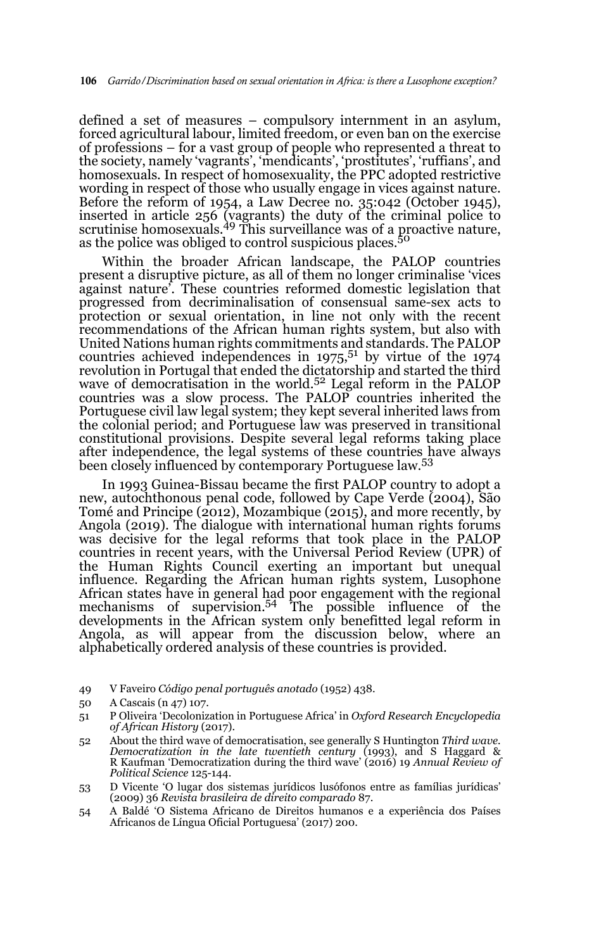defined a set of measures – compulsory internment in an asylum, forced agricultural labour, limited freedom, or even ban on the exercise of professions – for a vast group of people who represented a threat to the society, namely 'vagrants', 'mendicants', 'prostitutes', 'ruffians', and homosexuals. In respect of homosexuality, the PPC adopted restrictive wording in respect of those who usually engage in vices against nature. Before the reform of 1954, a Law Decree no. 35:042 (October 1945), inserted in article 256 (vagrants) the duty of the criminal police to scrutinise homosexuals.49 This surveillance was of a proactive nature, as the police was obliged to control suspicious places.<sup>50</sup>

Within the broader African landscape, the PALOP countries present a disruptive picture, as all of them no longer criminalise 'vices against nature'. These countries reformed domestic legislation that progressed from decriminalisation of consensual same-sex acts to protection or sexual orientation, in line not only with the recent recommendations of the African human rights system, but also with United Nations human rights commitments and standards. The PALOP countries achieved independences in  $1975$ ,  $51$  by virtue of the 1974 revolution in Portugal that ended the dictatorship and started the third wave of democratisation in the world.<sup>52</sup> Legal reform in the PALOP countries was a slow process. The PALOP countries inherited the Portuguese civil law legal system; they kept several inherited laws from the colonial period; and Portuguese law was preserved in transitional constitutional provisions. Despite several legal reforms taking place after independence, the legal systems of these countries have always been closely influenced by contemporary Portuguese law.<sup>53</sup>

In 1993 Guinea-Bissau became the first PALOP country to adopt a new, autochthonous penal code, followed by Cape Verde (2004), São Tomé and Principe (2012), Mozambique (2015), and more recently, by Angola (2019). The dialogue with international human rights forums was decisive for the legal reforms that took place in the PALOP countries in recent years, with the Universal Period Review (UPR) of the Human Rights Council exerting an important but unequal influence. Regarding the African human rights system, Lusophone African states have in general had poor engagement with the regional mechanisms of supervision.<sup>54</sup> The possible influence of the developments in the African system only benefitted legal reform in Angola, as will appear from the discussion below, where an alphabetically ordered analysis of these countries is provided.

<sup>49</sup> V Faveiro *Código penal português anotado* (1952) 438.

<sup>50</sup> A Cascais (n 47) 107.

<sup>51</sup> P Oliveira 'Decolonization in Portuguese Africa' in *Oxford Research Encyclopedia of African History* (2017).

<sup>52</sup> About the third wave of democratisation, see generally S Huntington *Third wave. Democratization in the late twentieth century* (1993), and S Haggard & R Kaufman 'Democratization during the third wave' (2016) 19 *Annual Review of Political Science* 125-144.

<sup>53</sup> D Vicente 'O lugar dos sistemas jurídicos lusófonos entre as famílias jurídicas' (2009) 36 *Revista brasileira de direito comparado* 87.

<sup>54</sup> A Baldé 'O Sistema Africano de Direitos humanos e a experiência dos Países Africanos de Língua Oficial Portuguesa' (2017) 200.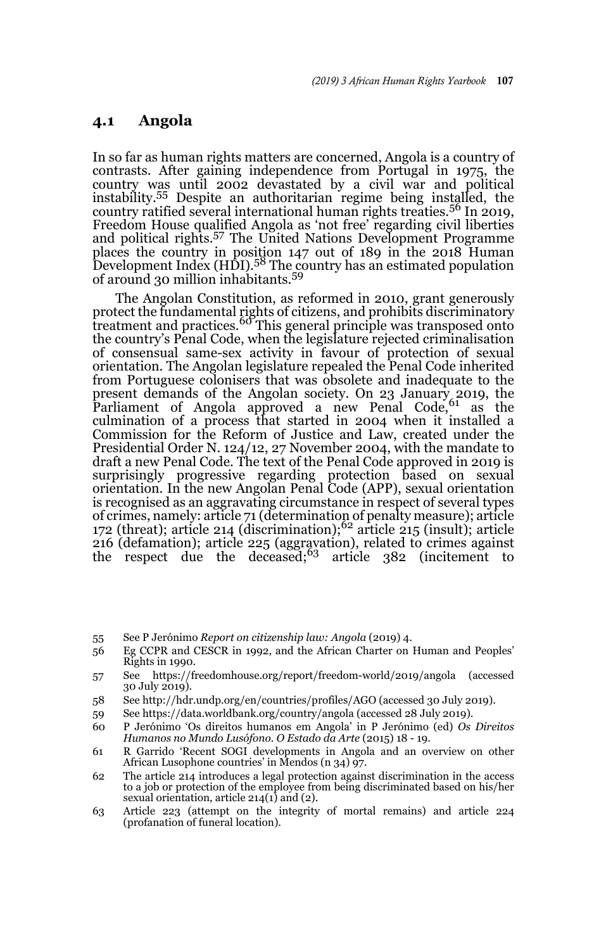#### **4.1 Angola**

In so far as human rights matters are concerned, Angola is a country of contrasts. After gaining independence from Portugal in 1975, the country was until 2002 devastated by a civil war and political instability.<sup>55</sup> Despite an authoritarian regime being installed, the country ratified several international human rights treaties.56 In 2019, Freedom House qualified Angola as 'not free' regarding civil liberties and political rights.57 The United Nations Development Programme places the country in position 147 out of 189 in the 2018 Human<br>Development Index (HDI).<sup>58</sup> The country has an estimated population of around 30 million inhabitants.<sup>59</sup>

The Angolan Constitution, as reformed in 2010, grant generously protect the fundamental rights of citizens, and prohibits discriminatory<br>treatment and practices.<sup>60</sup> This general principle was transposed onto the country's Penal Code, when the legislature rejected criminalisation of consensual same-sex activity in favour of protection of sexual orientation. The Angolan legislature repealed the Penal Code inherited from Portuguese colonisers that was obsolete and inadequate to the present demands of the Angolan society. On 23 January 2019, the<br>Parliament of Angola approved a new Penal Code,<sup>61</sup> as the culmination of a process that started in 2004 when it installed a Commission for the Reform of Justice and Law, created under the Presidential Order N. 124/12, 27 November 2004, with the mandate to draft a new Penal Code. The text of the Penal Code approved in 2019 is surprisingly progressive regarding protection based on sexual orientation. In the new Angolan Penal Code (APP), sexual orientation is recognised as an aggravating circumstance in respect of several types of crimes, namely: article 71 (determination of penalty measure); article 172 (threat); article 214 (discrimination);<sup>62</sup> article 215 (insult); article 216 (defamation); article 225 (aggravation), related to crimes against the respect due the deceased;63 article 382 (incitement to

55 See P Jerónimo *Report on citizenship law: Angola* (2019) 4.

- 56 Eg CCPR and CESCR in 1992, and the African Charter on Human and Peoples' Rights in 1990.
- 57 See https://freedomhouse.org/report/freedom-world/2019/angola (accessed 30 July 2019).
- 58 See http://hdr.undp.org/en/countries/profiles/AGO (accessed 30 July 2019).
- 59 See https://data.worldbank.org/country/angola (accessed 28 July 2019).
- 60 P Jerónimo 'Os direitos humanos em Angola' in P Jerónimo (ed) *Os Direitos Humanos no Mundo Lusófono. O Estado da Arte* (2015) 18 - 19.
- 61 R Garrido 'Recent SOGI developments in Angola and an overview on other African Lusophone countries' in Mendos (n 34) 97.
- 62 The article 214 introduces a legal protection against discrimination in the access to a job or protection of the employee from being discriminated based on his/her sexual orientation, article  $214(1)$  and (2).
- 63 Article 223 (attempt on the integrity of mortal remains) and article 224 (profanation of funeral location).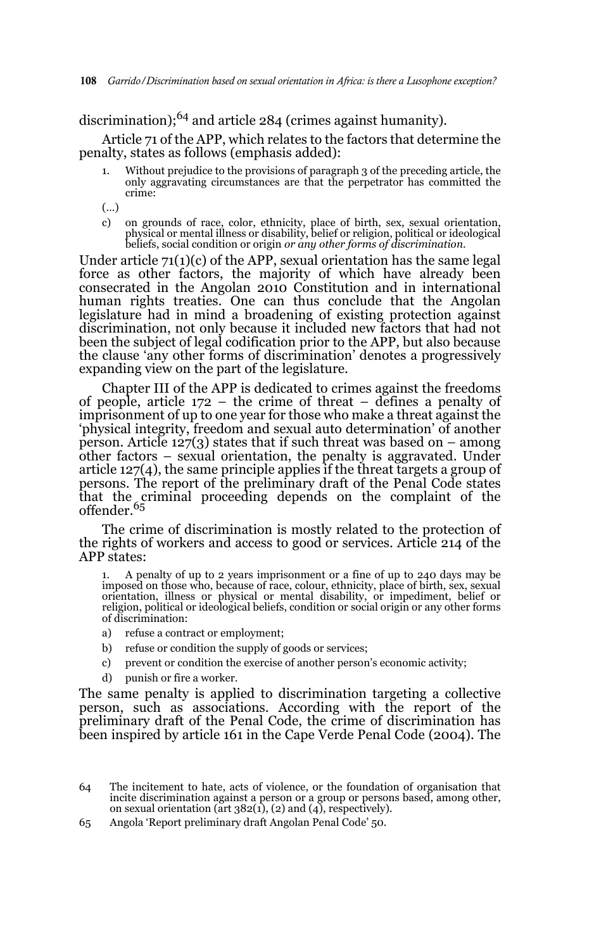discrimination);<sup>64</sup> and article 284 (crimes against humanity).

Article 71 of the APP, which relates to the factors that determine the penalty, states as follows (emphasis added):

- Without prejudice to the provisions of paragraph 3 of the preceding article, the only aggravating circumstances are that the perpetrator has committed the crime:
- (…)
- c) on grounds of race, color, ethnicity, place of birth, sex, sexual orientation, physical or mental illness or disability, belief or religion, political or ideological beliefs, social condition or origin or any other form

Under article  $71(1)(c)$  of the APP, sexual orientation has the same legal force as other factors, the majority of which have already been consecrated in the Angolan 2010 Constitution and in international human rights treaties. One can thus conclude that the Angolan legislature had in mind a broadening of existing protection against discrimination, not only because it included new factors that had not been the subject of legal codification prior to the APP, but also because the clause 'any other forms of discrimination' denotes a progressively expanding view on the part of the legislature.

Chapter III of the APP is dedicated to crimes against the freedoms of people, article 172 – the crime of threat – defines a penalty of imprisonment of up to one year for those who make a threat against the 'physical integrity, freedom and sexual auto determination' of another person. Article  $127(3)$  states that if such threat was based on – among other factors – sexual orientation, the penalty is aggravated. Under article 127(4), the same principle applies if the threat targets a group of persons. The report of the preliminary draft of the Penal Code states that the criminal proceeding depends on the complaint of the<br>offender.<sup>65</sup>

The crime of discrimination is mostly related to the protection of the rights of workers and access to good or services. Article 214 of the APP states:

1. A penalty of up to 2 years imprisonment or a fine of up to 240 days may be imposed on those who, because of race, colour, ethnicity, place of birth, sex, sexual orientation, illness or physical or mental disability, or impediment, belief or religion, political or ideological beliefs, condition or social origin or any other forms of discrimination:

- a) refuse a contract or employment;
- b) refuse or condition the supply of goods or services;
- c) prevent or condition the exercise of another person's economic activity;
- d) punish or fire a worker.

The same penalty is applied to discrimination targeting a collective person, such as associations. According with the report of the preliminary draft of the Penal Code, the crime of discrimination has been inspired by article 161 in the Cape Verde Penal Code (2004). The

65 Angola 'Report preliminary draft Angolan Penal Code' 50.

<sup>64</sup> The incitement to hate, acts of violence, or the foundation of organisation that incite discrimination against a person or a group or persons based, among other, on sexual orientation ( $\tilde{a}$ rt 382(1), (2) and (4), respectively).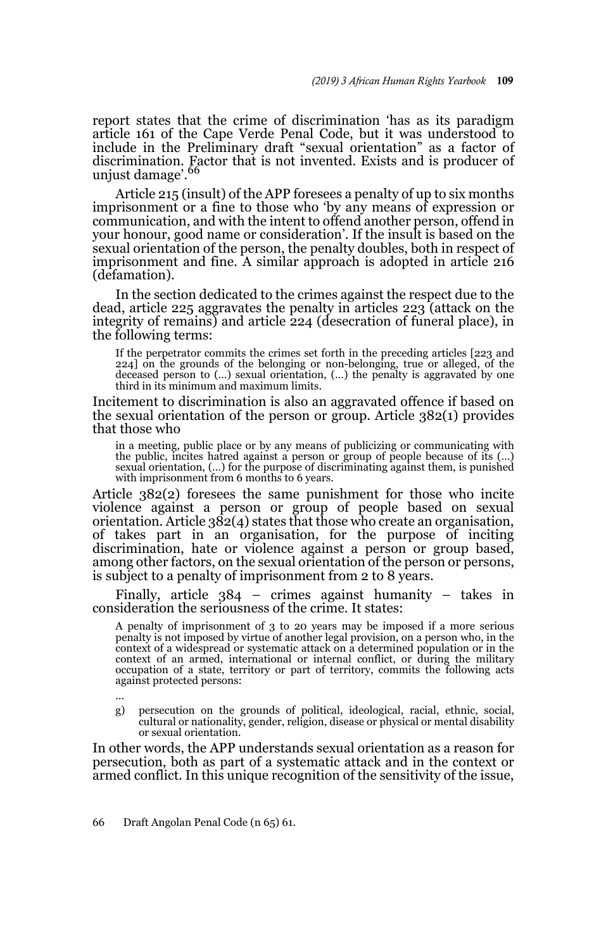report states that the crime of discrimination 'has as its paradigm article 161 of the Cape Verde Penal Code, but it was understood to include in the Preliminary draft "sexual orientation" as a factor of discrimination. Factor that is not invented. Exists and is producer of<br>unjust damage'.<sup>66</sup>

Article 215 (insult) of the APP foresees a penalty of up to six months imprisonment or a fine to those who 'by any means of expression or communication, and with the intent to offend another person, offend in your honour, good name or consideration'. If the insult is based on the sexual orientation of the person, the penalty doubles, both in respect of imprisonment and fine. A similar approach is adopted in article 216 (defamation).

In the section dedicated to the crimes against the respect due to the dead, article 225 aggravates the penalty in articles 223 (attack on the integrity of remains) and article 224 (desecration of funeral place), in the following terms:

If the perpetrator commits the crimes set forth in the preceding articles [223 and 224] on the grounds of the belonging or non-belonging, true or alleged, of the deceased person to (…) sexual orientation, (…) the penalty is aggravated by one third in its minimum and maximum limits.

Incitement to discrimination is also an aggravated offence if based on the sexual orientation of the person or group. Article 382(1) provides that those who

in a meeting, public place or by any means of publicizing or communicating with the public, incites hatred against a person or group of people because of its (…) sexual orientation, (…) for the purpose of discriminating against them, is punished with imprisonment from 6 months to 6 years.

Article 382(2) foresees the same punishment for those who incite violence against a person or group of people based on sexual orientation. Article 382(4) states that those who create an organisation, of takes part in an organisation, for the purpose of inciting discrimination, hate or violence against a person or group based, among other factors, on the sexual orientation of the person or persons, is subject to a penalty of imprisonment from 2 to 8 years.

Finally, article 384 – crimes against humanity – takes in consideration the seriousness of the crime. It states:

A penalty of imprisonment of 3 to 20 years may be imposed if a more serious penalty is not imposed by virtue of another legal provision, on a person who, in the context of a widespread or systematic attack on a determined population or in the context of an armed, international or internal conflict, or during the military occupation of a state, territory or part of territory, commi against protected persons:

…

g) persecution on the grounds of political, ideological, racial, ethnic, social, cultural or nationality, gender, religion, disease or physical or mental disability or sexual orientation.

In other words, the APP understands sexual orientation as a reason for persecution, both as part of a systematic attack and in the context or armed conflict. In this unique recognition of the sensitivity of the issue,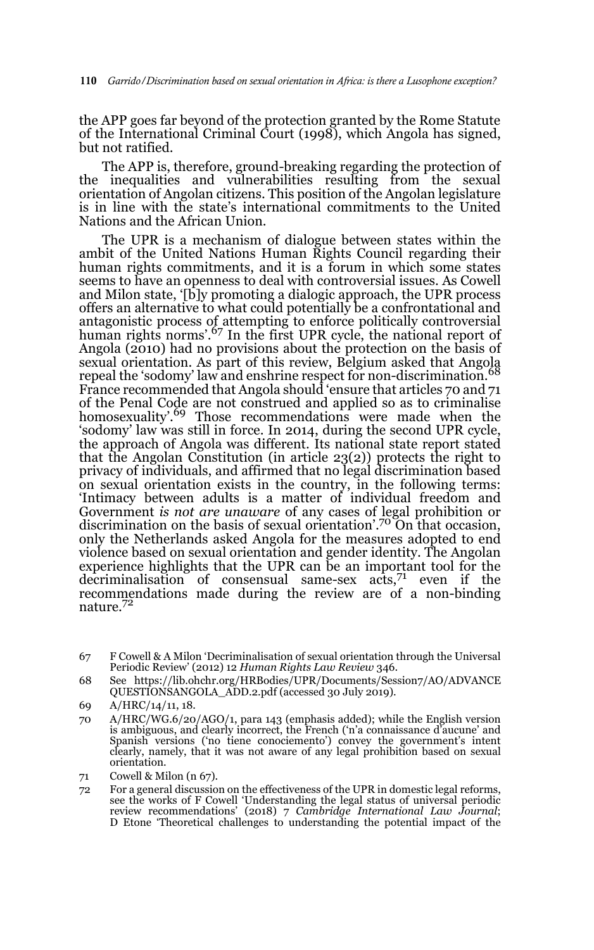the APP goes far beyond of the protection granted by the Rome Statute of the International Criminal Court (1998), which Angola has signed, but not ratified.

The APP is, therefore, ground-breaking regarding the protection of the inequalities and vulnerabilities resulting from the sexual orientation of Angolan citizens. This position of the Angolan legislature is in line with the state's international commitments to the United Nations and the African Union.

The UPR is a mechanism of dialogue between states within the ambit of the United Nations Human Rights Council regarding their human rights commitments, and it is a forum in which some states seems to have an openness to deal with controversial issues. As Cowell and Milon state, '[b]y promoting a dialogic approach, the UPR process offers an alternative to what could potentially be a confrontational and antagonistic process of attempting to enforce politically controversial<br>human rights norms'.<sup>67</sup> In the first UPR cycle, the national report of Angola (2010) had no provisions about the protection on the basis of sexual orientation. As part of this review, Belgium asked that Angola<br>repeal the 'sodomy' law and enshrine respect for non-discrimination.<sup>68</sup> France recommended that Angola should 'ensure that articles 70 and 71 of the Penal Code are not construed and applied so as to criminalise homosexuality'.<sup>69</sup> Those recommendations were made when the 'sodomy' law was still in force. In 2014, during the second UPR cycle, the approach of Angola was different. Its national state report stated that the Angolan Constitution (in article 23(2)) protects the right to privacy of individuals, and affirmed that no legal discrimination based on sexual orientation exists in the country, in the following terms: 'Intimacy between adults is a matter of individual freedom and Government *is not are unaware* of any cases of legal prohibition or discrimination on the basis of sexual orientation'.70 On that occasion, only the Netherlands asked Angola for the measures adopted to end violence based on sexual orientation and gender identity. The Angolan experience highlights that the UPR can be an important tool for the decriminalisation of consensual same-sex  $\arccos{z}^{71}$  even if the recommendations made during the review are of a non-binding nature.72

<sup>67</sup> F Cowell & A Milon 'Decriminalisation of sexual orientation through the Universal Periodic Review' (2012) 12 *Human Rights Law Review* 346.

<sup>68</sup> See https://lib.ohchr.org/HRBodies/UPR/Documents/Session7/AO/ADVANCE QUESTIONSANGOLA\_ADD.2.pdf (accessed 30 July 2019).

<sup>69</sup> A/HRC/14/11, 18.

<sup>70</sup> A/HRC/WG.6/20/AGO/1, para 143 (emphasis added); while the English version is ambiguous, and clearly incorrect, the French ('n'a connaissance d'aucune' and Spanish versions ('no tiene conociemento') convey the government's intent clearly, namely, that it was not aware of any legal prohibition based on sexual orientation.

<sup>71</sup> Cowell & Milon (n 67).

<sup>72</sup> For a general discussion on the effectiveness of the UPR in domestic legal reforms, see the works of F Cowell 'Understanding the legal status of universal periodic review recommendations' (2018) 7 *Cambridge International Law Journal*; D Etone 'Theoretical challenges to understanding the potential impact of the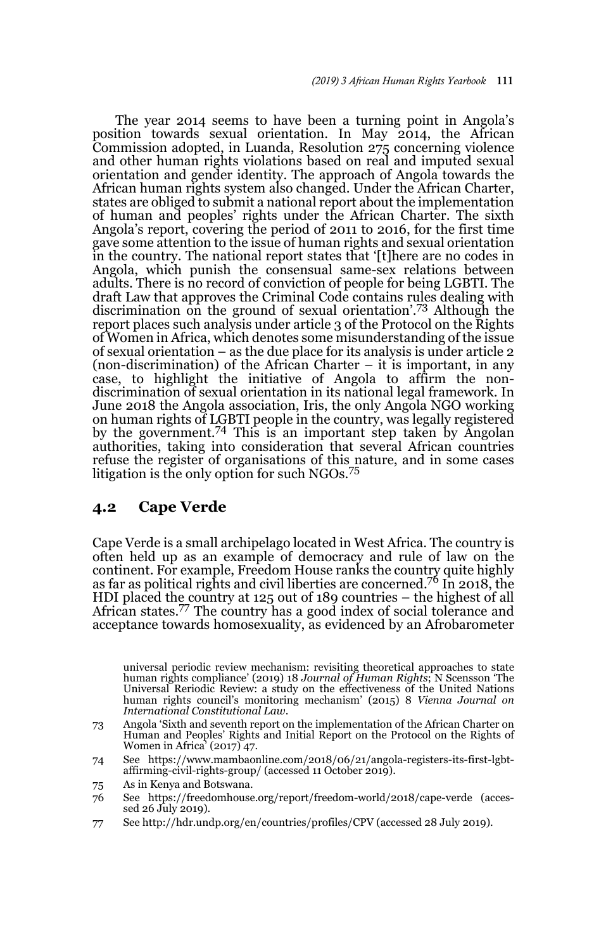The year 2014 seems to have been a turning point in Angola's position towards sexual orientation. In May 2014, the African Commission adopted, in Luanda, Resolution 275 concerning violence and other human rights violations based on real and imputed sexual orientation and gender identity. The approach of Angola towards the African human rights system also changed. Under the African Charter, states are obliged to submit a national report about the implementation of human and peoples' rights under the African Charter. The sixth Angola's report, covering the period of 2011 to 2016, for the first time gave some attention to the issue of human rights and sexual orientation in the country. The national report states that '[t]here are no codes in Angola, which punish the consensual same-sex relations between adults. There is no record of conviction of people for being LGBTI. The draft Law that approves the Criminal Code contains rules dealing with discrimination on the ground of sexual orientation'.<sup>73</sup> Although the report places such analysis under article 3 of the Protocol on the Rights of Women in Africa, which denotes some misunderstanding of the issue of sexual orientation – as the due place for its analysis is under article 2 (non-discrimination) of the African Charter  $-$  it is important, in any case, to highlight the initiative of Angola to affirm the nondiscrimination of sexual orientation in its national legal framework. In June 2018 the Angola association, Iris, the only Angola NGO working on human rights of LGBTI people in the country, was legally registered by the government.<sup>74</sup> This is an important step taken by Angolan authorities, taking into consideration that several African countries refuse the register of organisations of this nature, and in some cases litigation is the only option for such NGOs.<sup>75</sup>

#### **4.2 Cape Verde**

Cape Verde is a small archipelago located in West Africa. The country is often held up as an example of democracy and rule of law on the continent. For example, Freedom House ranks the country quite highly as far as political rights and civil liberties are concerned.76 In 2018, the HDI placed the country at 125 out of 189 countries – the highest of all African states.77 The country has a good index of social tolerance and acceptance towards homosexuality, as evidenced by an Afrobarometer

73 Angola 'Sixth and seventh report on the implementation of the African Charter on Human and Peoples' Rights and Initial Report on the Protocol on the Rights of Women in Africa' (2017) 47.

77 See http://hdr.undp.org/en/countries/profiles/CPV (accessed 28 July 2019).

universal periodic review mechanism: revisiting theoretical approaches to state human rights compliance' (2019) 18 *Journal of Human Rights*; N Scensson 'The Universal Reriodic Review: a study on the effectiveness of the United Nations human rights council's monitoring mechanism' (2015) 8 *Vienna Journal on International Constitutional Law*.

<sup>74</sup> See https://www.mambaonline.com/2018/06/21/angola-registers-its-first-lgbtaffirming-civil-rights-group/ (accessed 11 October 2019).

<sup>75</sup> As in Kenya and Botswana.

<sup>76</sup> See https://freedomhouse.org/report/freedom-world/2018/cape-verde (accessed 26 July 2019).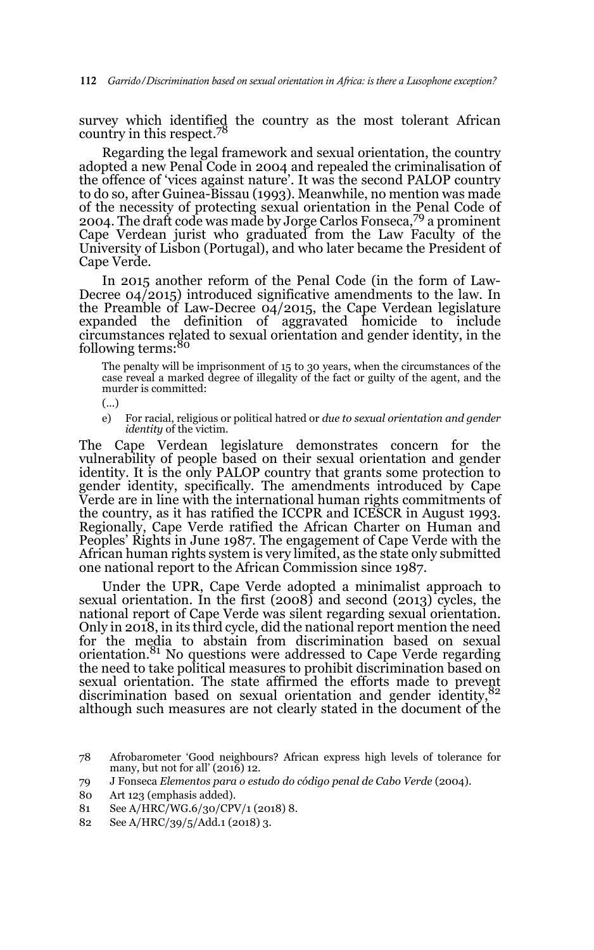survey which identified the country as the most tolerant African country in this respect.<sup>78</sup>

Regarding the legal framework and sexual orientation, the country adopted a new Penal Code in 2004 and repealed the criminalisation of the offence of 'vices against nature'. It was the second PALOP country to do so, after Guinea-Bissau (1993). Meanwhile, no mention was made of the necessity of protecting sexual orientation in the Penal Code of 2004. The draft code was made by Jorge Carlos Fonseca,<sup>79</sup> a prominent Cape Verdean jurist who graduated from the Law Faculty of the University of Lisbon (Portugal), and who later became the President of Cape Verde.

In 2015 another reform of the Penal Code (in the form of Law-Decree 04/2015) introduced significative amendments to the law. In the Preamble of Law-Decree 04/2015, the Cape Verdean legislature expanded the definition of aggravated homicide to include circumstances related to sexual orientation and gender identity, in the<br>following terms:<sup>80</sup>

The penalty will be imprisonment of 15 to 30 years, when the circumstances of the case reveal a marked degree of illegality of the fact or guilty of the agent, and the murder is committed:

(…)

e) For racial, religious or political hatred or *due to sexual orientation and gender identity* of the victim.

The Cape Verdean legislature demonstrates concern for the vulnerability of people based on their sexual orientation and gender identity. It is the only PALOP country that grants some protection to gender identity, specifically. The amendments introduced by Cape Verde are in line with the international human rights commitments of the country, as it has ratified the ICCPR and ICESCR in August 1993. Regionally, Cape Verde ratified the African Charter on Human and Peoples' Rights in June 1987. The engagement of Cape Verde with the African human rights system is very limited, as the state only submitted one national report to the African Commission since 1987.

Under the UPR, Cape Verde adopted a minimalist approach to sexual orientation. In the first (2008) and second (2013) cycles, the national report of Cape Verde was silent regarding sexual orientation. Only in 2018, in its third cycle, did the national report mention the need for the media to abstain from discrimination based on sexual orientation.<sup>81</sup> No questions were addressed to Cape Verde regarding the need to take political measures to prohibit discrimination based on sexual orientation. The state affirmed the efforts made to prevent discrimination based on sexual orientation and gender identity, 82 although such measures are not clearly stated in the document of the

<sup>78</sup> Afrobarometer 'Good neighbours? African express high levels of tolerance for many, but not for all' (2016) 12.

<sup>79</sup> J Fonseca *Elementos para o estudo do código penal de Cabo Verde* (2004).

<sup>80</sup> Art 123 (emphasis added).

<sup>81</sup> See A/HRC/WG.6/30/CPV/1 (2018) 8.

<sup>82</sup> See A/HRC/39/5/Add.1 (2018) 3.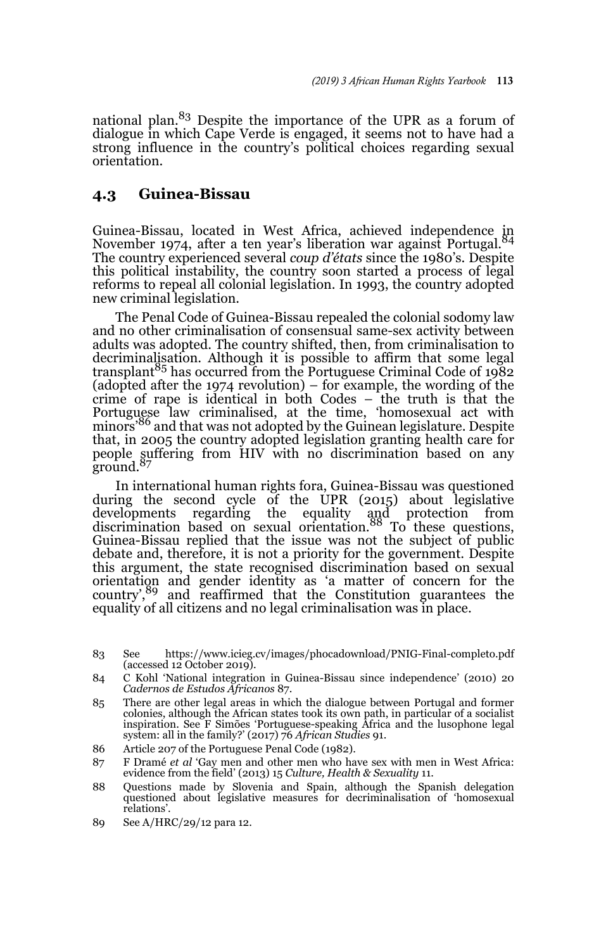national plan.83 Despite the importance of the UPR as a forum of dialogue in which Cape Verde is engaged, it seems not to have had a strong influence in the country's political choices regarding sexual orientation.

### **4.3 Guinea-Bissau**

Guinea-Bissau, located in West Africa, achieved independence in November 1974, after a ten year's liberation war against Portugal.<sup>84</sup> The country experienced several *coup d'états* since the 1980's. Despite this political instability, the country soon started a process of legal reforms to repeal all colonial legislation. In 1993, the country adopted new criminal legislation.

The Penal Code of Guinea-Bissau repealed the colonial sodomy law and no other criminalisation of consensual same-sex activity between adults was adopted. The country shifted, then, from criminalisation to decriminalisation. Although it is possible to affirm that some legal transplant<sup>85</sup> has occurred from the Portuguese Criminal Code of  $1982$ (adopted after the 1974 revolution) – for example, the wording of the crime of rape is identical in both Codes – the truth is that the Portuguese law criminalised, at the time, 'homosexual act with minors'86 and that was not adopted by the Guinean legislature. Despite that, in 2005 the country adopted legislation granting health care for people suffering from HIV with no discrimination based on any ground.<sup>87</sup>

In international human rights fora, Guinea-Bissau was questioned during the second cycle of the UPR (2015) about legislative developments regarding the equality and protection from discrimination based on sexual orientation.88 To these questions, Guinea-Bissau replied that the issue was not the subject of public debate and, therefore, it is not a priority for the government. Despite this argument, the state recognised discrimination based on sexual orientation and gender identity as 'a matter of concern for the country',<sup>89</sup> and reaffirmed that the Constitution guarantees the equality of all citizens and no legal criminalisation was in place.

- 85 There are other legal areas in which the dialogue between Portugal and former colonies, although the African states took its own path, in particular of a socialist inspiration. See F Simões 'Portuguese-speaking Africa and the lusophone legal system: all in the family?' (2017) 76 *African Studies* 91.
- 86 Article 207 of the Portuguese Penal Code (1982).
- 87 F Dramé *et al* 'Gay men and other men who have sex with men in West Africa: evidence from the field' (2013) 15 *Culture, Health & Sexuality* 11.
- 88 Questions made by Slovenia and Spain, although the Spanish delegation questioned about legislative measures for decriminalisation of 'homosexual relations'.
- 89 See A/HRC/29/12 para 12.

<sup>83</sup> See https://www.icieg.cv/images/phocadownload/PNIG-Final-completo.pdf (accessed 12 October 2019).

<sup>84</sup> C Kohl 'National integration in Guinea-Bissau since independence' (2010) 20 *Cadernos de Estudos Africanos* 87.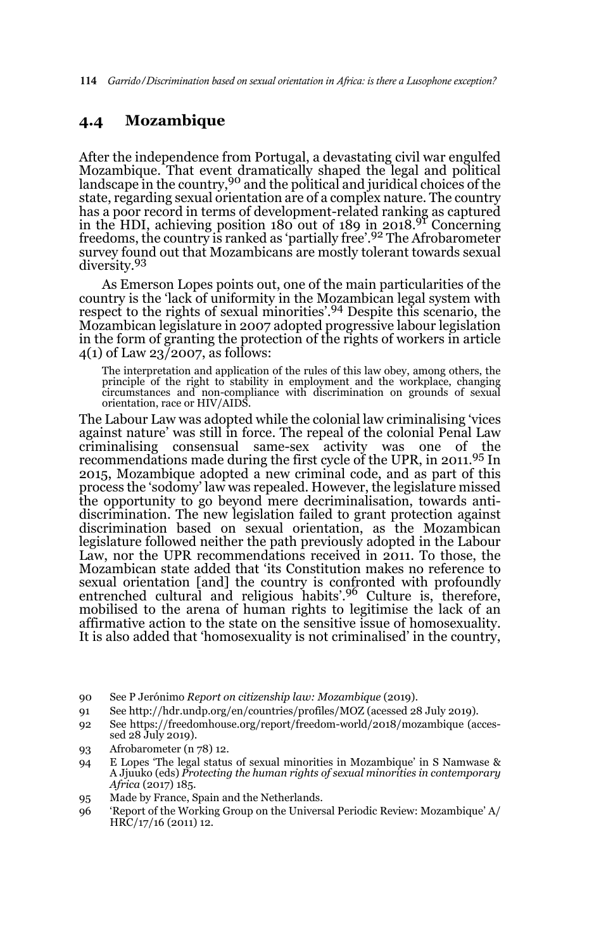114 *Garrido/Discrimination based on sexual orientation in Africa: is there a Lusophone exception?* 

## **4.4 Mozambique**

After the independence from Portugal, a devastating civil war engulfed Mozambique. That event dramatically shaped the legal and political<br>landscape in the country,<sup>90</sup> and the political and juridical choices of the state, regarding sexual orientation are of a complex nature. The country has a poor record in terms of development-related ranking as captured in the HDI, achieving position 180 out of 189 in 2018.91 Concerning freedoms, the country is ranked as 'partially free'.<sup>92</sup> The Afrobarometer survey found out that Mozambicans are mostly tolerant towards sexual diversity.<sup>93</sup>

As Emerson Lopes points out, one of the main particularities of the country is the 'lack of uniformity in the Mozambican legal system with respect to the rights of sexual minorities'.94 Despite this scenario, the Mozambican legislature in 2007 adopted progressive labour legislation in the form of granting the protection of the rights of workers in article 4(1) of Law 23/2007, as follows:

The interpretation and application of the rules of this law obey, among others, the principle of the right to stability in employment and the workplace, changing circumstances and non-compliance with discrimination on grounds of sexual orientation, race or HIV/AIDS.

The Labour Law was adopted while the colonial law criminalising 'vices against nature' was still in force. The repeal of the colonial Penal Law criminalising consensual same-sex activity was one of the recommendations made during the first cycle of the UPR, in 2011.95 In 2015, Mozambique adopted a new criminal code, and as part of this process the 'sodomy' law was repealed. However, the legislature missed the opportunity to go beyond mere decriminalisation, towards antidiscrimination. The new legislation failed to grant protection against discrimination based on sexual orientation, as the Mozambican legislature followed neither the path previously adopted in the Labour Law, nor the UPR recommendations received in 2011. To those, the Mozambican state added that 'its Constitution makes no reference to sexual orientation [and] the country is confronted with profoundly<br>entrenched cultural and religious habits'.<sup>96</sup> Culture is, therefore, mobilised to the arena of human rights to legitimise the lack of an affirmative action to the state on the sensitive issue of homosexuality. It is also added that 'homosexuality is not criminalised' in the country,

- 91 See http://hdr.undp.org/en/countries/profiles/MOZ (acessed 28 July 2019).
- 92 See https://freedomhouse.org/report/freedom-world/2018/mozambique (accessed 28 July 2019).
- 93 Afrobarometer (n 78) 12.
- 94 E Lopes 'The legal status of sexual minorities in Mozambique' in S Namwase & A Jjuuko (eds) *Protecting the human rights of sexual minorities in contemporary Africa* (2017) 185.
- 95 Made by France, Spain and the Netherlands.
- 96 'Report of the Working Group on the Universal Periodic Review: Mozambique' A/ HRC/17/16 (2011) 12.

<sup>90</sup> See P Jerónimo *Report on citizenship law: Mozambique* (2019).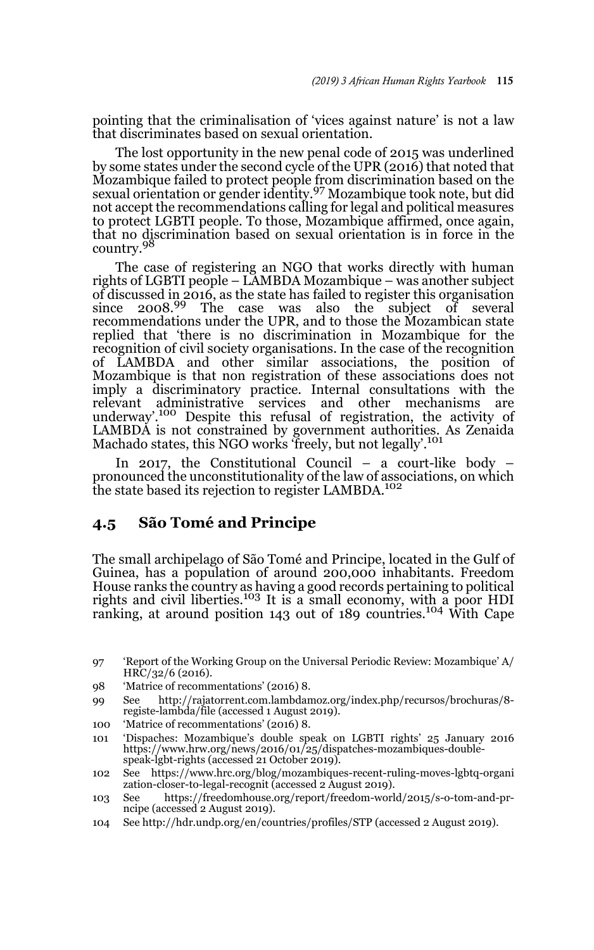pointing that the criminalisation of 'vices against nature' is not a law that discriminates based on sexual orientation.

The lost opportunity in the new penal code of 2015 was underlined by some states under the second cycle of the UPR (2016) that noted that Mozambique failed to protect people from discrimination based on the sexual orientation or gender identity.<sup>97</sup> Mozambique took note, but did not accept the recommendations calling for legal and political measures to protect LGBTI people. To those, Mozambique affirmed, once again, that no discrimination based on sexual orientation is in force in the country.<sup>98</sup>

The case of registering an NGO that works directly with human rights of LGBTI people – LAMBDA Mozambique – was another subject of discussed in 2016, as the state has failed to register this organisation since  $2008^{99}$  The case was also the subject of several recommendations under the UPR, and to those the Mozambican state replied that 'there is no discrimination in Mozambique for the recognition of civil society organisations. In the case of the recognition of LAMBDA and other similar associations, the position of Mozambique is that non registration of these associations does not imply a discriminatory practice. Internal consultations with the relevant administrative services and other mechanisms are underway'.100 Despite this refusal of registration, the activity of LAMBDA is not constrained by government authorities. As Zenaida<br>Machado states, this NGO works 'freely, but not legally'.<sup>101</sup>

In 2017, the Constitutional Council – a court-like body – pronounced the unconstitutionality of the law of associations, on which the state based its rejection to register LAMBDA.<sup>102</sup>

### **4.5 São Tomé and Principe**

The small archipelago of São Tomé and Principe, located in the Gulf of Guinea, has a population of around 200,000 inhabitants. Freedom House ranks the country as having a good records pertaining to political rights and civil liberties.103 It is a small economy, with a poor HDI ranking, at around position 143 out of 189 countries.<sup>104</sup> With Cape

- 99 See http://rajatorrent.com.lambdamoz.org/index.php/recursos/brochuras/8 registe-lambda/file (accessed 1 August 2019).
- 100 'Matrice of recommentations' (2016) 8.
- 101 'Dispaches: Mozambique's double speak on LGBTI rights' 25 January 2016 https://www.hrw.org/news/2016/01/25/dispatches-mozambiques-doublespeak-lgbt-rights (accessed 21 October 2019).

104 See http://hdr.undp.org/en/countries/profiles/STP (accessed 2 August 2019).

<sup>97 &#</sup>x27;Report of the Working Group on the Universal Periodic Review: Mozambique' A/ HRC/32/6 (2016).

<sup>98 &#</sup>x27;Matrice of recommentations' (2016) 8.

<sup>102</sup> See https://www.hrc.org/blog/mozambiques-recent-ruling-moves-lgbtq-organi zation-closer-to-legal-recognit (accessed 2 August 2019).

<sup>103</sup> See https://freedomhouse.org/report/freedom-world/2015/s-o-tom-and-prncipe (accessed 2 August 2019).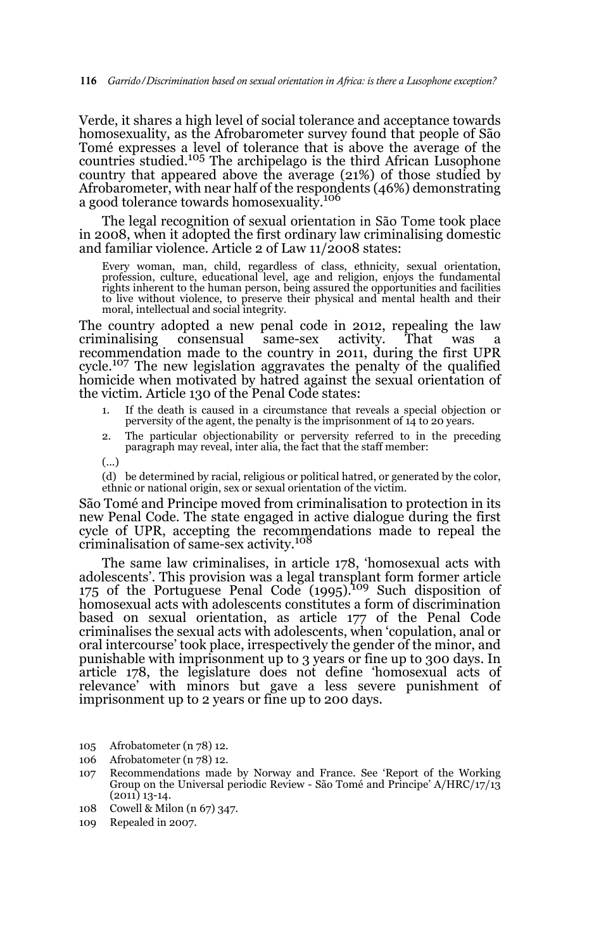Verde, it shares a high level of social tolerance and acceptance towards homosexuality, as the Afrobarometer survey found that people of São Tomé expresses a level of tolerance that is above the average of the countries studied.105 The archipelago is the third African Lusophone country that appeared above the average (21%) of those studied by Afrobarometer, with near half of the respondents (46%) demonstrating a good tolerance towards homosexuality.<sup>106</sup>

The legal recognition of sexual orientation in São Tome took place in 2008, when it adopted the first ordinary law criminalising domestic and familiar violence. Article 2 of Law 11/2008 states:

Every woman, man, child, regardless of class, ethnicity, sexual orientation, profession, culture, educational level, age and religion, enjoys the fundamental rights inherent to the human person, being assured the opportunities and facilities to live without violence, to preserve their physical and mental health and their moral, intellectual and social integrity.

The country adopted a new penal code in 2012, repealing the law criminalising consensual same-sex activity. That was a recommendation made to the country in 2011, during the first UPR cycle.107 The new legislation aggravates the penalty of the qualified homicide when motivated by hatred against the sexual orientation of the victim. Article 130 of the Penal Code states:

- 1. If the death is caused in a circumstance that reveals a special objection or perversity of the agent, the penalty is the imprisonment of 14 to 20 years.
- 2. The particular objectionability or perversity referred to in the preceding paragraph may reveal, inter alia, the fact that the staff member:
- (...)
- (d) be determined by racial, religious or political hatred, or generated by the color, ethnic or national origin, sex or sexual orientation of the victim.

São Tomé and Principe moved from criminalisation to protection in its new Penal Code. The state engaged in active dialogue during the first cycle of UPR, accepting the recommendations made to repeal the criminalisation of same-sex activity.<sup>108</sup>

The same law criminalises, in article 178, 'homosexual acts with adolescents'. This provision was a legal transplant form former article 175 of the Portuguese Penal Code  $(1995)^{109}$  Such disposition of homosexual acts with adolescents constitutes a form of discrimination based on sexual orientation, as article 177 of the Penal Code criminalises the sexual acts with adolescents, when 'copulation, anal or oral intercourse' took place, irrespectively the gender of the minor, and punishable with imprisonment up to 3 years or fine up to 300 days. In article 178, the legislature does not define 'homosexual acts of relevance' with minors but gave a less severe punishment of imprisonment up to 2 years or fine up to 200 days.

- 105 Afrobatometer (n 78) 12.
- 106 Afrobatometer (n 78) 12.
- 107 Recommendations made by Norway and France. See 'Report of the Working Group on the Universal periodic Review - São Tomé and Principe' A/HRC/17/13 (2011) 13-14.
- 108 Cowell & Milon (n 67) 347.
- 109 Repealed in 2007.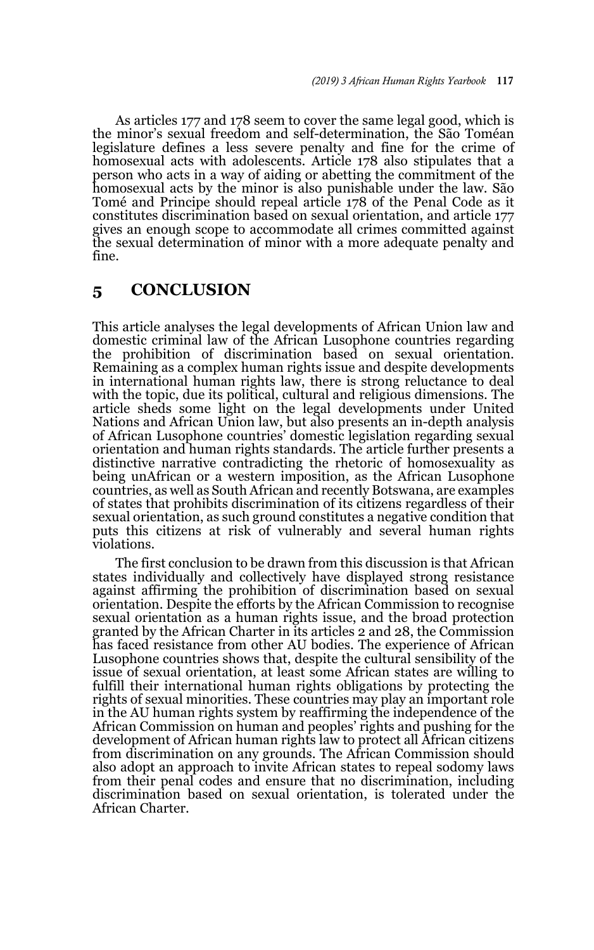As articles 177 and 178 seem to cover the same legal good, which is the minor's sexual freedom and self-determination, the São Toméan legislature defines a less severe penalty and fine for the crime of homosexual acts with adolescents. Article 178 also stipulates that a person who acts in a way of aiding or abetting the commitment of the homosexual acts by the minor is also punishable under the law. São Tomé and Principe should repeal article 178 of the Penal Code as it constitutes discrimination based on sexual orientation, and article 177 gives an enough scope to accommodate all crimes committed against the sexual determination of minor with a more adequate penalty and fine.

# **5 CONCLUSION**

This article analyses the legal developments of African Union law and domestic criminal law of the African Lusophone countries regarding the prohibition of discrimination based on sexual orientation. Remaining as a complex human rights issue and despite developments in international human rights law, there is strong reluctance to deal with the topic, due its political, cultural and religious dimensions. The article sheds some light on the legal developments under United Nations and African Union law, but also presents an in-depth analysis of African Lusophone countries' domestic legislation regarding sexual orientation and human rights standards. The article further presents a distinctive narrative contradicting the rhetoric of homosexuality as being unAfrican or a western imposition, as the African Lusophone countries, as well as South African and recently Botswana, are examples of states that prohibits discrimination of its citizens regardless of their sexual orientation, as such ground constitutes a negative condition that puts this citizens at risk of vulnerably and several human rights violations.

The first conclusion to be drawn from this discussion is that African states individually and collectively have displayed strong resistance against affirming the prohibition of discrimination based on sexual orientation. Despite the efforts by the African Commission to recognise sexual orientation as a human rights issue, and the broad protection granted by the African Charter in its articles 2 and 28, the Commission has faced resistance from other AU bodies. The experience of African Lusophone countries shows that, despite the cultural sensibility of the issue of sexual orientation, at least some African states are willing to fulfill their international human rights obligations by protecting the rights of sexual minorities. These countries may play an important role in the AU human rights system by reaffirming the independence of the African Commission on human and peoples' rights and pushing for the development of African human rights law to protect all African citizens from discrimination on any grounds. The African Commission should also adopt an approach to invite African states to repeal sodomy laws from their penal codes and ensure that no discrimination, including discrimination based on sexual orientation, is tolerated under the African Charter.